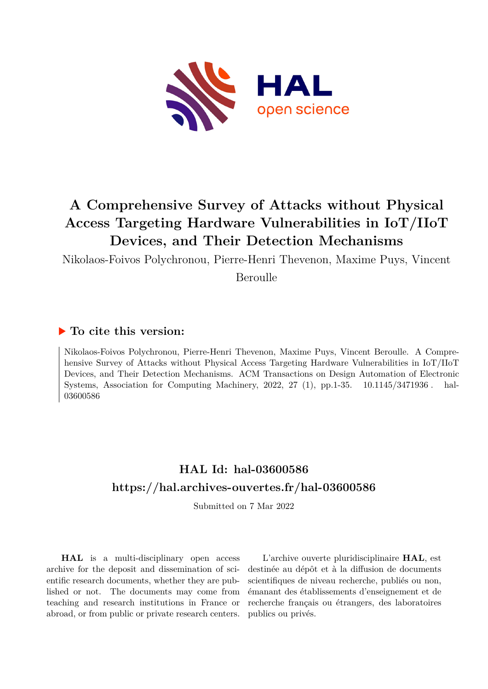

Nikolaos-Foivos Polychronou, Pierre-Henri Thevenon, Maxime Puys, Vincent

Beroulle

## **To cite this version:**

Nikolaos-Foivos Polychronou, Pierre-Henri Thevenon, Maxime Puys, Vincent Beroulle. A Comprehensive Survey of Attacks without Physical Access Targeting Hardware Vulnerabilities in IoT/IIoT Devices, and Their Detection Mechanisms. ACM Transactions on Design Automation of Electronic Systems, Association for Computing Machinery, 2022, 27  $(1)$ , pp.1-35.  $10.1145/3471936$ . hal-03600586

# **HAL Id: hal-03600586 <https://hal.archives-ouvertes.fr/hal-03600586>**

Submitted on 7 Mar 2022

**HAL** is a multi-disciplinary open access archive for the deposit and dissemination of scientific research documents, whether they are published or not. The documents may come from teaching and research institutions in France or abroad, or from public or private research centers.

L'archive ouverte pluridisciplinaire **HAL**, est destinée au dépôt et à la diffusion de documents scientifiques de niveau recherche, publiés ou non, émanant des établissements d'enseignement et de recherche français ou étrangers, des laboratoires publics ou privés.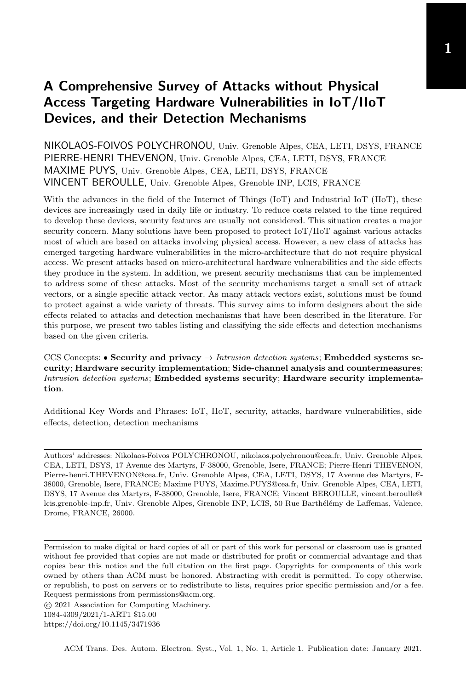NIKOLAOS-FOIVOS POLYCHRONOU, Univ. Grenoble Alpes, CEA, LETI, DSYS, FRANCE PIERRE-HENRI THEVENON, Univ. Grenoble Alpes, CEA, LETI, DSYS, FRANCE MAXIME PUYS, Univ. Grenoble Alpes, CEA, LETI, DSYS, FRANCE VINCENT BEROULLE, Univ. Grenoble Alpes, Grenoble INP, LCIS, FRANCE

With the advances in the field of the Internet of Things (IoT) and Industrial IoT (IIoT), these devices are increasingly used in daily life or industry. To reduce costs related to the time required to develop these devices, security features are usually not considered. This situation creates a major security concern. Many solutions have been proposed to protect IoT/IIoT against various attacks most of which are based on attacks involving physical access. However, a new class of attacks has emerged targeting hardware vulnerabilities in the micro-architecture that do not require physical access. We present attacks based on micro-architectural hardware vulnerabilities and the side effects they produce in the system. In addition, we present security mechanisms that can be implemented to address some of these attacks. Most of the security mechanisms target a small set of attack vectors, or a single specific attack vector. As many attack vectors exist, solutions must be found to protect against a wide variety of threats. This survey aims to inform designers about the side effects related to attacks and detection mechanisms that have been described in the literature. For this purpose, we present two tables listing and classifying the side effects and detection mechanisms based on the given criteria.

CCS Concepts: • Security and privacy  $\rightarrow$  Intrusion detection systems; Embedded systems security; Hardware security implementation; Side-channel analysis and countermeasures; Intrusion detection systems; Embedded systems security; Hardware security implementation.

Additional Key Words and Phrases: IoT, IIoT, security, attacks, hardware vulnerabilities, side effects, detection, detection mechanisms

Authors' addresses: Nikolaos-Foivos POLYCHRONOU, nikolaos.polychronou@cea.fr, Univ. Grenoble Alpes, CEA, LETI, DSYS, 17 Avenue des Martyrs, F-38000, Grenoble, Isere, FRANCE; Pierre-Henri THEVENON, Pierre-henri.THEVENON@cea.fr, Univ. Grenoble Alpes, CEA, LETI, DSYS, 17 Avenue des Martyrs, F-38000, Grenoble, Isere, FRANCE; Maxime PUYS, Maxime.PUYS@cea.fr, Univ. Grenoble Alpes, CEA, LETI, DSYS, 17 Avenue des Martyrs, F-38000, Grenoble, Isere, FRANCE; Vincent BEROULLE, vincent.beroulle@ lcis.grenoble-inp.fr, Univ. Grenoble Alpes, Grenoble INP, LCIS, 50 Rue Barthélémy de Laffemas, Valence, Drome, FRANCE, 26000.

Permission to make digital or hard copies of all or part of this work for personal or classroom use is granted without fee provided that copies are not made or distributed for profit or commercial advantage and that copies bear this notice and the full citation on the first page. Copyrights for components of this work owned by others than ACM must be honored. Abstracting with credit is permitted. To copy otherwise, or republish, to post on servers or to redistribute to lists, requires prior specific permission and/or a fee. Request permissions from permissions@acm.org.

○c 2021 Association for Computing Machinery. 1084-4309/2021/1-ART1 \$15.00 <https://doi.org/10.1145/3471936>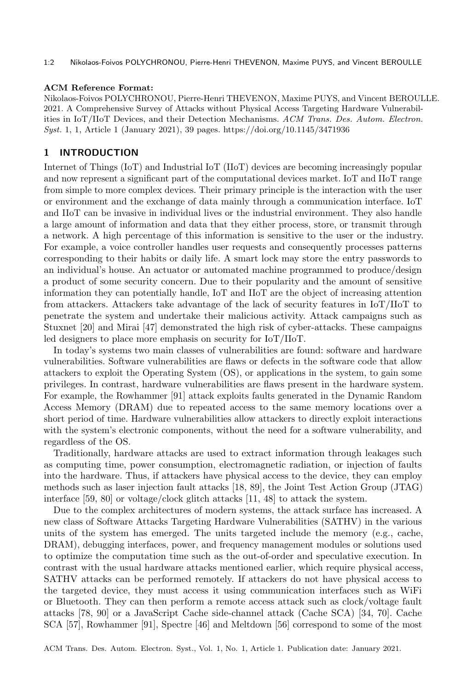#### 1:2 Nikolaos-Foivos POLYCHRONOU, Pierre-Henri THEVENON, Maxime PUYS, and Vincent BEROULLE

#### ACM Reference Format:

Nikolaos-Foivos POLYCHRONOU, Pierre-Henri THEVENON, Maxime PUYS, and Vincent BEROULLE. 2021. A Comprehensive Survey of Attacks without Physical Access Targeting Hardware Vulnerabilities in IoT/IIoT Devices, and their Detection Mechanisms. ACM Trans. Des. Autom. Electron. Syst. 1, 1, Article 1 (January 2021), 39 pages.<https://doi.org/10.1145/3471936>

## 1 INTRODUCTION

Internet of Things (IoT) and Industrial IoT (IIoT) devices are becoming increasingly popular and now represent a significant part of the computational devices market. IoT and IIoT range from simple to more complex devices. Their primary principle is the interaction with the user or environment and the exchange of data mainly through a communication interface. IoT and IIoT can be invasive in individual lives or the industrial environment. They also handle a large amount of information and data that they either process, store, or transmit through a network. A high percentage of this information is sensitive to the user or the industry. For example, a voice controller handles user requests and consequently processes patterns corresponding to their habits or daily life. A smart lock may store the entry passwords to an individual's house. An actuator or automated machine programmed to produce/design a product of some security concern. Due to their popularity and the amount of sensitive information they can potentially handle, IoT and IIoT are the object of increasing attention from attackers. Attackers take advantage of the lack of security features in IoT/IIoT to penetrate the system and undertake their malicious activity. Attack campaigns such as Stuxnet [20] and Mirai [47] demonstrated the high risk of cyber-attacks. These campaigns led designers to place more emphasis on security for IoT/IIoT.

In today's systems two main classes of vulnerabilities are found: software and hardware vulnerabilities. Software vulnerabilities are flaws or defects in the software code that allow attackers to exploit the Operating System (OS), or applications in the system, to gain some privileges. In contrast, hardware vulnerabilities are flaws present in the hardware system. For example, the Rowhammer [91] attack exploits faults generated in the Dynamic Random Access Memory (DRAM) due to repeated access to the same memory locations over a short period of time. Hardware vulnerabilities allow attackers to directly exploit interactions with the system's electronic components, without the need for a software vulnerability, and regardless of the OS.

Traditionally, hardware attacks are used to extract information through leakages such as computing time, power consumption, electromagnetic radiation, or injection of faults into the hardware. Thus, if attackers have physical access to the device, they can employ methods such as laser injection fault attacks [18, 89], the Joint Test Action Group (JTAG) interface [59, 80] or voltage/clock glitch attacks [11, 48] to attack the system.

Due to the complex architectures of modern systems, the attack surface has increased. A new class of Software Attacks Targeting Hardware Vulnerabilities (SATHV) in the various units of the system has emerged. The units targeted include the memory (e.g., cache, DRAM), debugging interfaces, power, and frequency management modules or solutions used to optimize the computation time such as the out-of-order and speculative execution. In contrast with the usual hardware attacks mentioned earlier, which require physical access, SATHV attacks can be performed remotely. If attackers do not have physical access to the targeted device, they must access it using communication interfaces such as WiFi or Bluetooth. They can then perform a remote access attack such as clock/voltage fault attacks [78, 90] or a JavaScript Cache side-channel attack (Cache SCA) [34, 70]. Cache SCA [57], Rowhammer [91], Spectre [46] and Meltdown [56] correspond to some of the most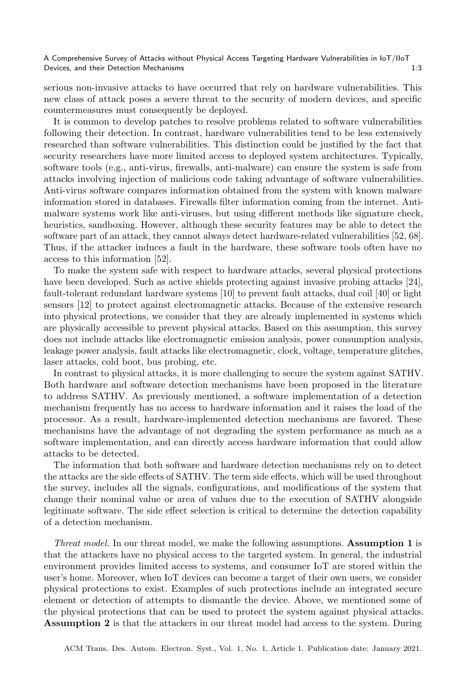serious non-invasive attacks to have occurred that rely on hardware vulnerabilities. This new class of attack poses a severe threat to the security of modern devices, and specific countermeasures must consequently be deployed.

It is common to develop patches to resolve problems related to software vulnerabilities following their detection. In contrast, hardware vulnerabilities tend to be less extensively researched than software vulnerabilities. This distinction could be justified by the fact that security researchers have more limited access to deployed system architectures. Typically, software tools (e.g., anti-virus, firewalls, anti-malware) can ensure the system is safe from attacks involving injection of malicious code taking advantage of software vulnerabilities. Anti-virus software compares information obtained from the system with known malware information stored in databases. Firewalls filter information coming from the internet. Antimalware systems work like anti-viruses, but using different methods like signature check, heuristics, sandboxing. However, although these security features may be able to detect the software part of an attack, they cannot always detect hardware-related vulnerabilities [52, 68]. Thus, if the attacker induces a fault in the hardware, these software tools often have no access to this information [52].

To make the system safe with respect to hardware attacks, several physical protections have been developed. Such as active shields protecting against invasive probing attacks [24], fault-tolerant redundant hardware systems [10] to prevent fault attacks, dual coil [40] or light sensors [12] to protect against electromagnetic attacks. Because of the extensive research into physical protections, we consider that they are already implemented in systems which are physically accessible to prevent physical attacks. Based on this assumption, this survey does not include attacks like electromagnetic emission analysis, power consumption analysis, leakage power analysis, fault attacks like electromagnetic, clock, voltage, temperature glitches, laser attacks, cold boot, bus probing, etc.

In contrast to physical attacks, it is more challenging to secure the system against SATHV. Both hardware and software detection mechanisms have been proposed in the literature to address SATHV. As previously mentioned, a software implementation of a detection mechanism frequently has no access to hardware information and it raises the load of the processor. As a result, hardware-implemented detection mechanisms are favored. These mechanisms have the advantage of not degrading the system performance as much as a software implementation, and can directly access hardware information that could allow attacks to be detected.

The information that both software and hardware detection mechanisms rely on to detect the attacks are the side effects of SATHV. The term side effects, which will be used throughout the survey, includes all the signals, configurations, and modifications of the system that change their nominal value or area of values due to the execution of SATHV alongside legitimate software. The side effect selection is critical to determine the detection capability of a detection mechanism.

Threat model. In our threat model, we make the following assumptions. Assumption 1 is that the attackers have no physical access to the targeted system. In general, the industrial environment provides limited access to systems, and consumer IoT are stored within the user's home. Moreover, when IoT devices can become a target of their own users, we consider physical protections to exist. Examples of such protections include an integrated secure element or detection of attempts to dismantle the device. Above, we mentioned some of the physical protections that can be used to protect the system against physical attacks. Assumption 2 is that the attackers in our threat model had access to the system. During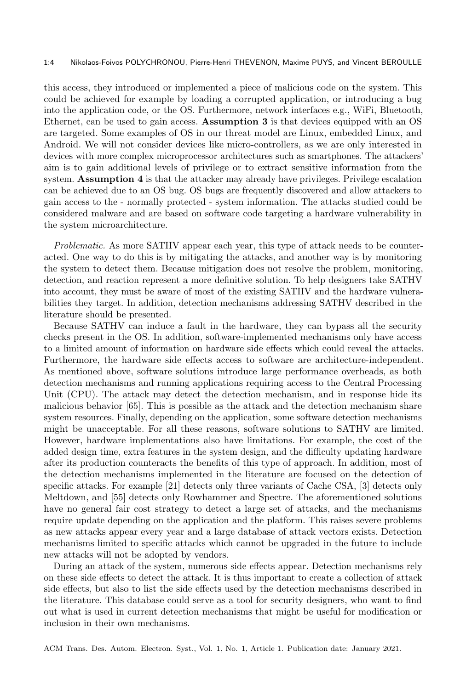#### 1:4 Nikolaos-Foivos POLYCHRONOU, Pierre-Henri THEVENON, Maxime PUYS, and Vincent BEROULLE

this access, they introduced or implemented a piece of malicious code on the system. This could be achieved for example by loading a corrupted application, or introducing a bug into the application code, or the OS. Furthermore, network interfaces e.g., WiFi, Bluetooth, Ethernet, can be used to gain access. Assumption 3 is that devices equipped with an OS are targeted. Some examples of OS in our threat model are Linux, embedded Linux, and Android. We will not consider devices like micro-controllers, as we are only interested in devices with more complex microprocessor architectures such as smartphones. The attackers' aim is to gain additional levels of privilege or to extract sensitive information from the system. Assumption 4 is that the attacker may already have privileges. Privilege escalation can be achieved due to an OS bug. OS bugs are frequently discovered and allow attackers to gain access to the - normally protected - system information. The attacks studied could be considered malware and are based on software code targeting a hardware vulnerability in the system microarchitecture.

Problematic. As more SATHV appear each year, this type of attack needs to be counteracted. One way to do this is by mitigating the attacks, and another way is by monitoring the system to detect them. Because mitigation does not resolve the problem, monitoring, detection, and reaction represent a more definitive solution. To help designers take SATHV into account, they must be aware of most of the existing SATHV and the hardware vulnerabilities they target. In addition, detection mechanisms addressing SATHV described in the literature should be presented.

Because SATHV can induce a fault in the hardware, they can bypass all the security checks present in the OS. In addition, software-implemented mechanisms only have access to a limited amount of information on hardware side effects which could reveal the attacks. Furthermore, the hardware side effects access to software are architecture-independent. As mentioned above, software solutions introduce large performance overheads, as both detection mechanisms and running applications requiring access to the Central Processing Unit (CPU). The attack may detect the detection mechanism, and in response hide its malicious behavior [65]. This is possible as the attack and the detection mechanism share system resources. Finally, depending on the application, some software detection mechanisms might be unacceptable. For all these reasons, software solutions to SATHV are limited. However, hardware implementations also have limitations. For example, the cost of the added design time, extra features in the system design, and the difficulty updating hardware after its production counteracts the benefits of this type of approach. In addition, most of the detection mechanisms implemented in the literature are focused on the detection of specific attacks. For example [21] detects only three variants of Cache CSA, [3] detects only Meltdown, and [55] detects only Rowhammer and Spectre. The aforementioned solutions have no general fair cost strategy to detect a large set of attacks, and the mechanisms require update depending on the application and the platform. This raises severe problems as new attacks appear every year and a large database of attack vectors exists. Detection mechanisms limited to specific attacks which cannot be upgraded in the future to include new attacks will not be adopted by vendors.

During an attack of the system, numerous side effects appear. Detection mechanisms rely on these side effects to detect the attack. It is thus important to create a collection of attack side effects, but also to list the side effects used by the detection mechanisms described in the literature. This database could serve as a tool for security designers, who want to find out what is used in current detection mechanisms that might be useful for modification or inclusion in their own mechanisms.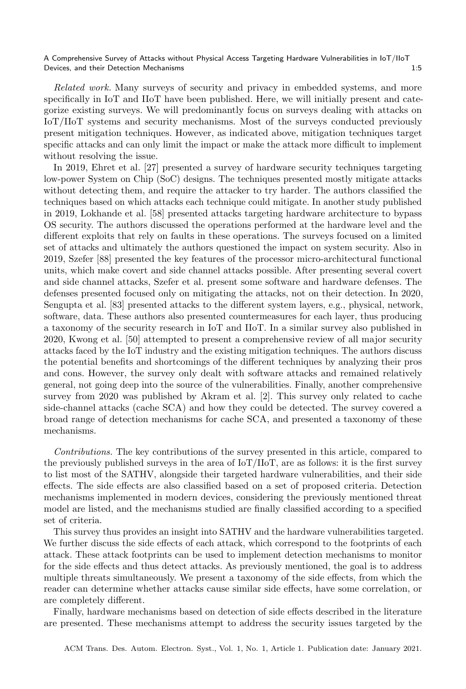Related work. Many surveys of security and privacy in embedded systems, and more specifically in IoT and IIoT have been published. Here, we will initially present and categorize existing surveys. We will predominantly focus on surveys dealing with attacks on IoT/IIoT systems and security mechanisms. Most of the surveys conducted previously present mitigation techniques. However, as indicated above, mitigation techniques target specific attacks and can only limit the impact or make the attack more difficult to implement without resolving the issue.

In 2019, Ehret et al. [27] presented a survey of hardware security techniques targeting low-power System on Chip (SoC) designs. The techniques presented mostly mitigate attacks without detecting them, and require the attacker to try harder. The authors classified the techniques based on which attacks each technique could mitigate. In another study published in 2019, Lokhande et al. [58] presented attacks targeting hardware architecture to bypass OS security. The authors discussed the operations performed at the hardware level and the different exploits that rely on faults in these operations. The surveys focused on a limited set of attacks and ultimately the authors questioned the impact on system security. Also in 2019, Szefer [88] presented the key features of the processor micro-architectural functional units, which make covert and side channel attacks possible. After presenting several covert and side channel attacks, Szefer et al. present some software and hardware defenses. The defenses presented focused only on mitigating the attacks, not on their detection. In 2020, Sengupta et al. [83] presented attacks to the different system layers, e.g., physical, network, software, data. These authors also presented countermeasures for each layer, thus producing a taxonomy of the security research in IoT and IIoT. In a similar survey also published in 2020, Kwong et al. [50] attempted to present a comprehensive review of all major security attacks faced by the IoT industry and the existing mitigation techniques. The authors discuss the potential benefits and shortcomings of the different techniques by analyzing their pros and cons. However, the survey only dealt with software attacks and remained relatively general, not going deep into the source of the vulnerabilities. Finally, another comprehensive survey from 2020 was published by Akram et al. [2]. This survey only related to cache side-channel attacks (cache SCA) and how they could be detected. The survey covered a broad range of detection mechanisms for cache SCA, and presented a taxonomy of these mechanisms.

Contributions. The key contributions of the survey presented in this article, compared to the previously published surveys in the area of IoT/IIoT, are as follows: it is the first survey to list most of the SATHV, alongside their targeted hardware vulnerabilities, and their side effects. The side effects are also classified based on a set of proposed criteria. Detection mechanisms implemented in modern devices, considering the previously mentioned threat model are listed, and the mechanisms studied are finally classified according to a specified set of criteria.

This survey thus provides an insight into SATHV and the hardware vulnerabilities targeted. We further discuss the side effects of each attack, which correspond to the footprints of each attack. These attack footprints can be used to implement detection mechanisms to monitor for the side effects and thus detect attacks. As previously mentioned, the goal is to address multiple threats simultaneously. We present a taxonomy of the side effects, from which the reader can determine whether attacks cause similar side effects, have some correlation, or are completely different.

Finally, hardware mechanisms based on detection of side effects described in the literature are presented. These mechanisms attempt to address the security issues targeted by the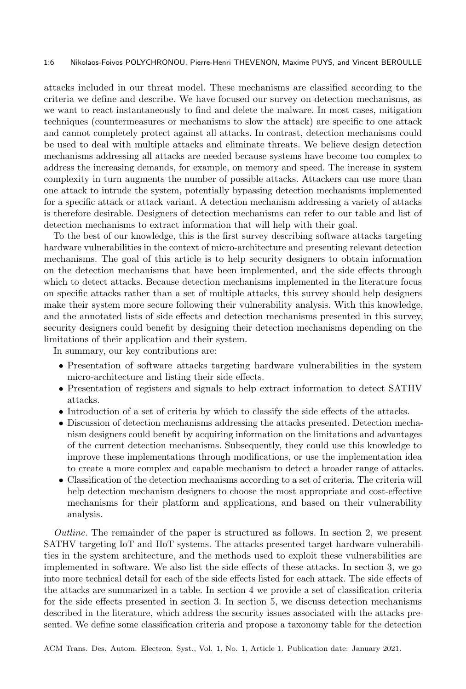#### 1:6 Nikolaos-Foivos POLYCHRONOU, Pierre-Henri THEVENON, Maxime PUYS, and Vincent BEROULLE

attacks included in our threat model. These mechanisms are classified according to the criteria we define and describe. We have focused our survey on detection mechanisms, as we want to react instantaneously to find and delete the malware. In most cases, mitigation techniques (countermeasures or mechanisms to slow the attack) are specific to one attack and cannot completely protect against all attacks. In contrast, detection mechanisms could be used to deal with multiple attacks and eliminate threats. We believe design detection mechanisms addressing all attacks are needed because systems have become too complex to address the increasing demands, for example, on memory and speed. The increase in system complexity in turn augments the number of possible attacks. Attackers can use more than one attack to intrude the system, potentially bypassing detection mechanisms implemented for a specific attack or attack variant. A detection mechanism addressing a variety of attacks is therefore desirable. Designers of detection mechanisms can refer to our table and list of detection mechanisms to extract information that will help with their goal.

To the best of our knowledge, this is the first survey describing software attacks targeting hardware vulnerabilities in the context of micro-architecture and presenting relevant detection mechanisms. The goal of this article is to help security designers to obtain information on the detection mechanisms that have been implemented, and the side effects through which to detect attacks. Because detection mechanisms implemented in the literature focus on specific attacks rather than a set of multiple attacks, this survey should help designers make their system more secure following their vulnerability analysis. With this knowledge, and the annotated lists of side effects and detection mechanisms presented in this survey, security designers could benefit by designing their detection mechanisms depending on the limitations of their application and their system.

In summary, our key contributions are:

- ∙ Presentation of software attacks targeting hardware vulnerabilities in the system micro-architecture and listing their side effects.
- ∙ Presentation of registers and signals to help extract information to detect SATHV attacks.
- ∙ Introduction of a set of criteria by which to classify the side effects of the attacks.
- ∙ Discussion of detection mechanisms addressing the attacks presented. Detection mechanism designers could benefit by acquiring information on the limitations and advantages of the current detection mechanisms. Subsequently, they could use this knowledge to improve these implementations through modifications, or use the implementation idea to create a more complex and capable mechanism to detect a broader range of attacks.
- ∙ Classification of the detection mechanisms according to a set of criteria. The criteria will help detection mechanism designers to choose the most appropriate and cost-effective mechanisms for their platform and applications, and based on their vulnerability analysis.

Outline. The remainder of the paper is structured as follows. In section 2, we present SATHV targeting IoT and IIoT systems. The attacks presented target hardware vulnerabilities in the system architecture, and the methods used to exploit these vulnerabilities are implemented in software. We also list the side effects of these attacks. In section 3, we go into more technical detail for each of the side effects listed for each attack. The side effects of the attacks are summarized in a table. In section 4 we provide a set of classification criteria for the side effects presented in section 3. In section 5, we discuss detection mechanisms described in the literature, which address the security issues associated with the attacks presented. We define some classification criteria and propose a taxonomy table for the detection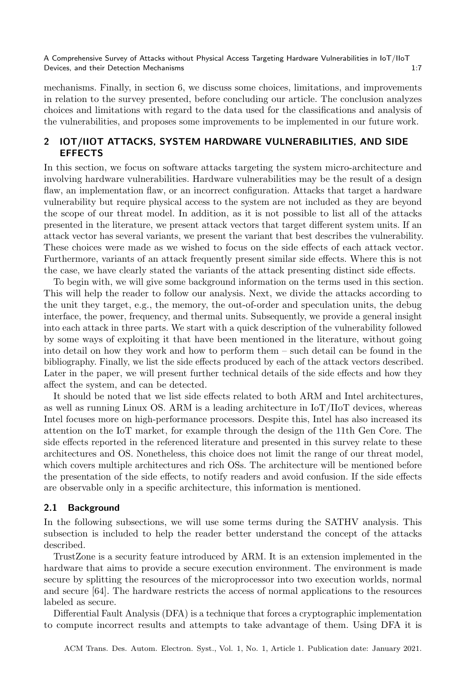mechanisms. Finally, in section 6, we discuss some choices, limitations, and improvements in relation to the survey presented, before concluding our article. The conclusion analyzes choices and limitations with regard to the data used for the classifications and analysis of the vulnerabilities, and proposes some improvements to be implemented in our future work.

## 2 IOT/IIOT ATTACKS, SYSTEM HARDWARE VULNERABILITIES, AND SIDE EFFECTS

In this section, we focus on software attacks targeting the system micro-architecture and involving hardware vulnerabilities. Hardware vulnerabilities may be the result of a design flaw, an implementation flaw, or an incorrect configuration. Attacks that target a hardware vulnerability but require physical access to the system are not included as they are beyond the scope of our threat model. In addition, as it is not possible to list all of the attacks presented in the literature, we present attack vectors that target different system units. If an attack vector has several variants, we present the variant that best describes the vulnerability. These choices were made as we wished to focus on the side effects of each attack vector. Furthermore, variants of an attack frequently present similar side effects. Where this is not the case, we have clearly stated the variants of the attack presenting distinct side effects.

To begin with, we will give some background information on the terms used in this section. This will help the reader to follow our analysis. Next, we divide the attacks according to the unit they target, e.g., the memory, the out-of-order and speculation units, the debug interface, the power, frequency, and thermal units. Subsequently, we provide a general insight into each attack in three parts. We start with a quick description of the vulnerability followed by some ways of exploiting it that have been mentioned in the literature, without going into detail on how they work and how to perform them – such detail can be found in the bibliography. Finally, we list the side effects produced by each of the attack vectors described. Later in the paper, we will present further technical details of the side effects and how they affect the system, and can be detected.

It should be noted that we list side effects related to both ARM and Intel architectures, as well as running Linux OS. ARM is a leading architecture in  $I_o(T/I_o)$  devices, whereas Intel focuses more on high-performance processors. Despite this, Intel has also increased its attention on the IoT market, for example through the design of the 11th Gen Core. The side effects reported in the referenced literature and presented in this survey relate to these architectures and OS. Nonetheless, this choice does not limit the range of our threat model, which covers multiple architectures and rich OSs. The architecture will be mentioned before the presentation of the side effects, to notify readers and avoid confusion. If the side effects are observable only in a specific architecture, this information is mentioned.

## 2.1 Background

In the following subsections, we will use some terms during the SATHV analysis. This subsection is included to help the reader better understand the concept of the attacks described.

TrustZone is a security feature introduced by ARM. It is an extension implemented in the hardware that aims to provide a secure execution environment. The environment is made secure by splitting the resources of the microprocessor into two execution worlds, normal and secure [64]. The hardware restricts the access of normal applications to the resources labeled as secure.

Differential Fault Analysis (DFA) is a technique that forces a cryptographic implementation to compute incorrect results and attempts to take advantage of them. Using DFA it is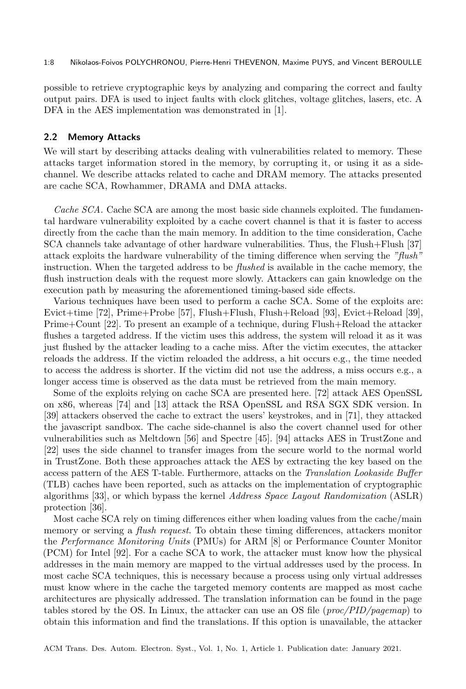#### 1:8 Nikolaos-Foivos POLYCHRONOU, Pierre-Henri THEVENON, Maxime PUYS, and Vincent BEROULLE

possible to retrieve cryptographic keys by analyzing and comparing the correct and faulty output pairs. DFA is used to inject faults with clock glitches, voltage glitches, lasers, etc. A DFA in the AES implementation was demonstrated in [1].

#### 2.2 Memory Attacks

We will start by describing attacks dealing with vulnerabilities related to memory. These attacks target information stored in the memory, by corrupting it, or using it as a sidechannel. We describe attacks related to cache and DRAM memory. The attacks presented are cache SCA, Rowhammer, DRAMA and DMA attacks.

Cache SCA. Cache SCA are among the most basic side channels exploited. The fundamental hardware vulnerability exploited by a cache covert channel is that it is faster to access directly from the cache than the main memory. In addition to the time consideration, Cache SCA channels take advantage of other hardware vulnerabilities. Thus, the Flush+Flush [37] attack exploits the hardware vulnerability of the timing difference when serving the "flush" instruction. When the targeted address to be *flushed* is available in the cache memory, the flush instruction deals with the request more slowly. Attackers can gain knowledge on the execution path by measuring the aforementioned timing-based side effects.

Various techniques have been used to perform a cache SCA. Some of the exploits are: Evict+time [72], Prime+Probe [57], Flush+Flush, Flush+Reload [93], Evict+Reload [39], Prime+Count [22]. To present an example of a technique, during Flush+Reload the attacker flushes a targeted address. If the victim uses this address, the system will reload it as it was just flushed by the attacker leading to a cache miss. After the victim executes, the attacker reloads the address. If the victim reloaded the address, a hit occurs e.g., the time needed to access the address is shorter. If the victim did not use the address, a miss occurs e.g., a longer access time is observed as the data must be retrieved from the main memory.

Some of the exploits relying on cache SCA are presented here. [72] attack AES OpenSSL on x86, whereas [74] and [13] attack the RSA OpenSSL and RSA SGX SDK version. In [39] attackers observed the cache to extract the users' keystrokes, and in [71], they attacked the javascript sandbox. The cache side-channel is also the covert channel used for other vulnerabilities such as Meltdown [56] and Spectre [45]. [94] attacks AES in TrustZone and [22] uses the side channel to transfer images from the secure world to the normal world in TrustZone. Both these approaches attack the AES by extracting the key based on the access pattern of the AES T-table. Furthermore, attacks on the Translation Lookaside Buffer (TLB) caches have been reported, such as attacks on the implementation of cryptographic algorithms [33], or which bypass the kernel Address Space Layout Randomization (ASLR) protection [36].

Most cache SCA rely on timing differences either when loading values from the cache/main memory or serving a flush request. To obtain these timing differences, attackers monitor the Performance Monitoring Units (PMUs) for ARM [8] or Performance Counter Monitor (PCM) for Intel [92]. For a cache SCA to work, the attacker must know how the physical addresses in the main memory are mapped to the virtual addresses used by the process. In most cache SCA techniques, this is necessary because a process using only virtual addresses must know where in the cache the targeted memory contents are mapped as most cache architectures are physically addressed. The translation information can be found in the page tables stored by the OS. In Linux, the attacker can use an OS file ( $proc/PID/pagemap)$  to obtain this information and find the translations. If this option is unavailable, the attacker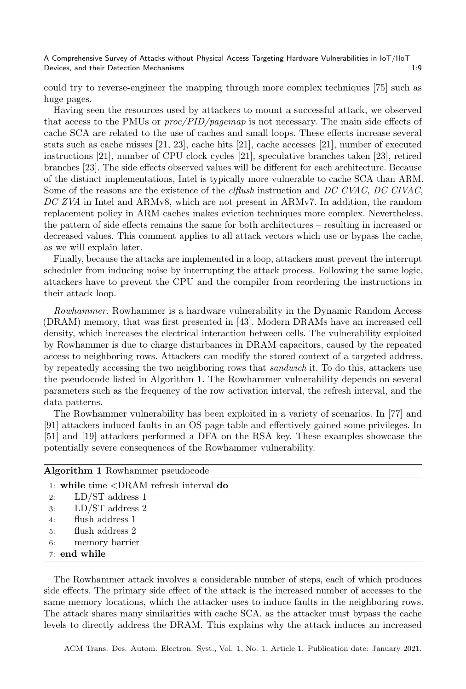could try to reverse-engineer the mapping through more complex techniques [75] such as huge pages.

Having seen the resources used by attackers to mount a successful attack, we observed that access to the PMUs or proc/PID/pagemap is not necessary. The main side effects of cache SCA are related to the use of caches and small loops. These effects increase several stats such as cache misses [21, 23], cache hits [21], cache accesses [21], number of executed instructions [21], number of CPU clock cycles [21], speculative branches taken [23], retired branches [23]. The side effects observed values will be different for each architecture. Because of the distinct implementations, Intel is typically more vulnerable to cache SCA than ARM. Some of the reasons are the existence of the *clflush* instruction and DC CVAC, DC CIVAC, DC ZVA in Intel and ARMv8, which are not present in ARMv7. In addition, the random replacement policy in ARM caches makes eviction techniques more complex. Nevertheless, the pattern of side effects remains the same for both architectures – resulting in increased or decreased values. This comment applies to all attack vectors which use or bypass the cache, as we will explain later.

Finally, because the attacks are implemented in a loop, attackers must prevent the interrupt scheduler from inducing noise by interrupting the attack process. Following the same logic, attackers have to prevent the CPU and the compiler from reordering the instructions in their attack loop.

Rowhammer. Rowhammer is a hardware vulnerability in the Dynamic Random Access (DRAM) memory, that was first presented in [43]. Modern DRAMs have an increased cell density, which increases the electrical interaction between cells. The vulnerability exploited by Rowhammer is due to charge disturbances in DRAM capacitors, caused by the repeated access to neighboring rows. Attackers can modify the stored context of a targeted address, by repeatedly accessing the two neighboring rows that sandwich it. To do this, attackers use the pseudocode listed in Algorithm 1. The Rowhammer vulnerability depends on several parameters such as the frequency of the row activation interval, the refresh interval, and the data patterns.

The Rowhammer vulnerability has been exploited in a variety of scenarios. In [77] and [91] attackers induced faults in an OS page table and effectively gained some privileges. In [51] and [19] attackers performed a DFA on the RSA key. These examples showcase the potentially severe consequences of the Rowhammer vulnerability.

|    | <b>Algorithm 1</b> Rowhammer pseudocode                                 |  |  |  |  |  |
|----|-------------------------------------------------------------------------|--|--|--|--|--|
|    | 1. while time $\langle \text{DRAM refresh interval } \text{do} \rangle$ |  |  |  |  |  |
| 2: | $LD/ST$ address 1                                                       |  |  |  |  |  |
| 3: | $LD/ST$ address 2                                                       |  |  |  |  |  |
| 4: | flush address 1                                                         |  |  |  |  |  |
| 5: | flush address 2                                                         |  |  |  |  |  |
| 6: | memory barrier                                                          |  |  |  |  |  |
|    | 7: end while                                                            |  |  |  |  |  |

The Rowhammer attack involves a considerable number of steps, each of which produces side effects. The primary side effect of the attack is the increased number of accesses to the same memory locations, which the attacker uses to induce faults in the neighboring rows. The attack shares many similarities with cache SCA, as the attacker must bypass the cache levels to directly address the DRAM. This explains why the attack induces an increased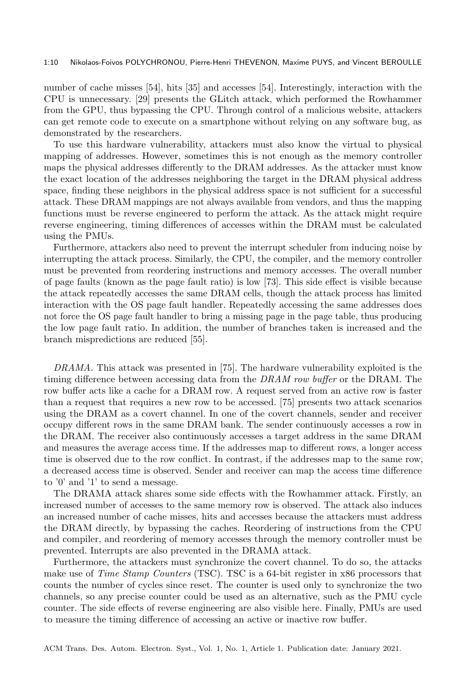number of cache misses [54], hits [35] and accesses [54]. Interestingly, interaction with the CPU is unnecessary. [29] presents the GLitch attack, which performed the Rowhammer from the GPU, thus bypassing the CPU. Through control of a malicious website, attackers can get remote code to execute on a smartphone without relying on any software bug, as demonstrated by the researchers.

To use this hardware vulnerability, attackers must also know the virtual to physical mapping of addresses. However, sometimes this is not enough as the memory controller maps the physical addresses differently to the DRAM addresses. As the attacker must know the exact location of the addresses neighboring the target in the DRAM physical address space, finding these neighbors in the physical address space is not sufficient for a successful attack. These DRAM mappings are not always available from vendors, and thus the mapping functions must be reverse engineered to perform the attack. As the attack might require reverse engineering, timing differences of accesses within the DRAM must be calculated using the PMUs.

Furthermore, attackers also need to prevent the interrupt scheduler from inducing noise by interrupting the attack process. Similarly, the CPU, the compiler, and the memory controller must be prevented from reordering instructions and memory accesses. The overall number of page faults (known as the page fault ratio) is low [73]. This side effect is visible because the attack repeatedly accesses the same DRAM cells, though the attack process has limited interaction with the OS page fault handler. Repeatedly accessing the same addresses does not force the OS page fault handler to bring a missing page in the page table, thus producing the low page fault ratio. In addition, the number of branches taken is increased and the branch mispredictions are reduced [55].

DRAMA. This attack was presented in [75]. The hardware vulnerability exploited is the timing difference between accessing data from the DRAM row buffer or the DRAM. The row buffer acts like a cache for a DRAM row. A request served from an active row is faster than a request that requires a new row to be accessed. [75] presents two attack scenarios using the DRAM as a covert channel. In one of the covert channels, sender and receiver occupy different rows in the same DRAM bank. The sender continuously accesses a row in the DRAM. The receiver also continuously accesses a target address in the same DRAM and measures the average access time. If the addresses map to different rows, a longer access time is observed due to the row conflict. In contrast, if the addresses map to the same row, a decreased access time is observed. Sender and receiver can map the access time difference to '0' and '1' to send a message.

The DRAMA attack shares some side effects with the Rowhammer attack. Firstly, an increased number of accesses to the same memory row is observed. The attack also induces an increased number of cache misses, hits and accesses because the attackers must address the DRAM directly, by bypassing the caches. Reordering of instructions from the CPU and compiler, and reordering of memory accesses through the memory controller must be prevented. Interrupts are also prevented in the DRAMA attack.

Furthermore, the attackers must synchronize the covert channel. To do so, the attacks make use of *Time Stamp Counters* (TSC). TSC is a 64-bit register in x86 processors that counts the number of cycles since reset. The counter is used only to synchronize the two channels, so any precise counter could be used as an alternative, such as the PMU cycle counter. The side effects of reverse engineering are also visible here. Finally, PMUs are used to measure the timing difference of accessing an active or inactive row buffer.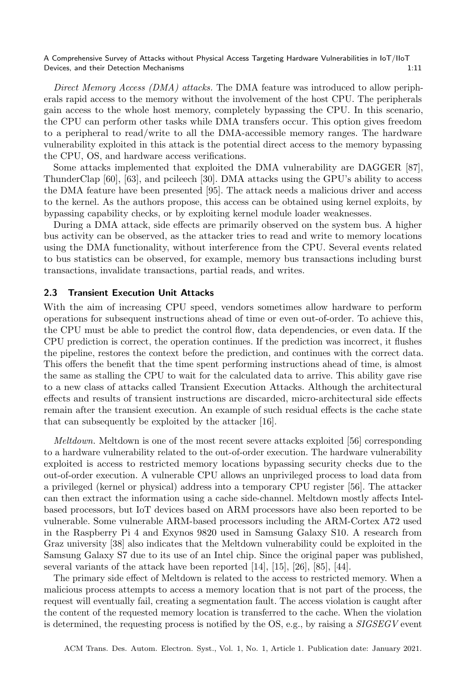Direct Memory Access (DMA) attacks. The DMA feature was introduced to allow peripherals rapid access to the memory without the involvement of the host CPU. The peripherals gain access to the whole host memory, completely bypassing the CPU. In this scenario, the CPU can perform other tasks while DMA transfers occur. This option gives freedom to a peripheral to read/write to all the DMA-accessible memory ranges. The hardware vulnerability exploited in this attack is the potential direct access to the memory bypassing the CPU, OS, and hardware access verifications.

Some attacks implemented that exploited the DMA vulnerability are DAGGER [87], ThunderClap [60], [63], and pcileech [30]. DMA attacks using the GPU's ability to access the DMA feature have been presented [95]. The attack needs a malicious driver and access to the kernel. As the authors propose, this access can be obtained using kernel exploits, by bypassing capability checks, or by exploiting kernel module loader weaknesses.

During a DMA attack, side effects are primarily observed on the system bus. A higher bus activity can be observed, as the attacker tries to read and write to memory locations using the DMA functionality, without interference from the CPU. Several events related to bus statistics can be observed, for example, memory bus transactions including burst transactions, invalidate transactions, partial reads, and writes.

## 2.3 Transient Execution Unit Attacks

With the aim of increasing CPU speed, vendors sometimes allow hardware to perform operations for subsequent instructions ahead of time or even out-of-order. To achieve this, the CPU must be able to predict the control flow, data dependencies, or even data. If the CPU prediction is correct, the operation continues. If the prediction was incorrect, it flushes the pipeline, restores the context before the prediction, and continues with the correct data. This offers the benefit that the time spent performing instructions ahead of time, is almost the same as stalling the CPU to wait for the calculated data to arrive. This ability gave rise to a new class of attacks called Transient Execution Attacks. Although the architectural effects and results of transient instructions are discarded, micro-architectural side effects remain after the transient execution. An example of such residual effects is the cache state that can subsequently be exploited by the attacker [16].

Meltdown. Meltdown is one of the most recent severe attacks exploited [56] corresponding to a hardware vulnerability related to the out-of-order execution. The hardware vulnerability exploited is access to restricted memory locations bypassing security checks due to the out-of-order execution. A vulnerable CPU allows an unprivileged process to load data from a privileged (kernel or physical) address into a temporary CPU register [56]. The attacker can then extract the information using a cache side-channel. Meltdown mostly affects Intelbased processors, but IoT devices based on ARM processors have also been reported to be vulnerable. Some vulnerable ARM-based processors including the ARM-Cortex A72 used in the Raspberry Pi 4 and Exynos 9820 used in Samsung Galaxy S10. A research from Graz university [38] also indicates that the Meltdown vulnerability could be exploited in the Samsung Galaxy S7 due to its use of an Intel chip. Since the original paper was published, several variants of the attack have been reported [14], [15], [26], [85], [44].

The primary side effect of Meltdown is related to the access to restricted memory. When a malicious process attempts to access a memory location that is not part of the process, the request will eventually fail, creating a segmentation fault. The access violation is caught after the content of the requested memory location is transferred to the cache. When the violation is determined, the requesting process is notified by the OS, e.g., by raising a SIGSEGV event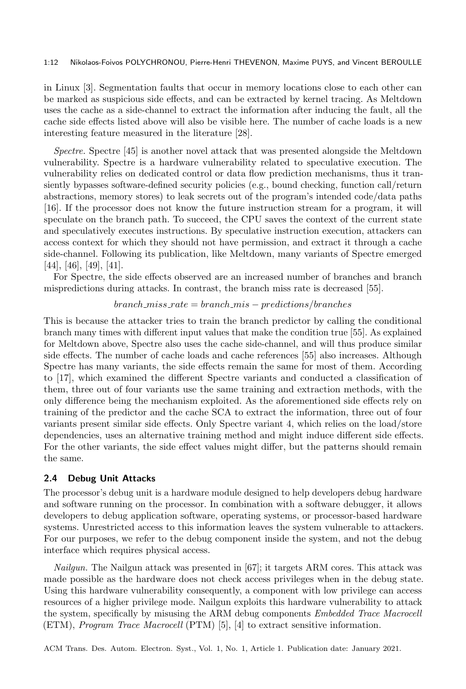#### 1:12 Nikolaos-Foivos POLYCHRONOU, Pierre-Henri THEVENON, Maxime PUYS, and Vincent BEROULLE

in Linux [3]. Segmentation faults that occur in memory locations close to each other can be marked as suspicious side effects, and can be extracted by kernel tracing. As Meltdown uses the cache as a side-channel to extract the information after inducing the fault, all the cache side effects listed above will also be visible here. The number of cache loads is a new interesting feature measured in the literature [28].

Spectre. Spectre [45] is another novel attack that was presented alongside the Meltdown vulnerability. Spectre is a hardware vulnerability related to speculative execution. The vulnerability relies on dedicated control or data flow prediction mechanisms, thus it transiently bypasses software-defined security policies (e.g., bound checking, function call/return abstractions, memory stores) to leak secrets out of the program's intended code/data paths [16]. If the processor does not know the future instruction stream for a program, it will speculate on the branch path. To succeed, the CPU saves the context of the current state and speculatively executes instructions. By speculative instruction execution, attackers can access context for which they should not have permission, and extract it through a cache side-channel. Following its publication, like Meltdown, many variants of Spectre emerged [44], [46], [49], [41].

For Spectre, the side effects observed are an increased number of branches and branch mispredictions during attacks. In contrast, the branch miss rate is decreased [55].

#### $branch\_miss\_rate = branch\_mis - predictions/b \text{ranches}$

This is because the attacker tries to train the branch predictor by calling the conditional branch many times with different input values that make the condition true [55]. As explained for Meltdown above, Spectre also uses the cache side-channel, and will thus produce similar side effects. The number of cache loads and cache references [55] also increases. Although Spectre has many variants, the side effects remain the same for most of them. According to [17], which examined the different Spectre variants and conducted a classification of them, three out of four variants use the same training and extraction methods, with the only difference being the mechanism exploited. As the aforementioned side effects rely on training of the predictor and the cache SCA to extract the information, three out of four variants present similar side effects. Only Spectre variant 4, which relies on the load/store dependencies, uses an alternative training method and might induce different side effects. For the other variants, the side effect values might differ, but the patterns should remain the same.

## 2.4 Debug Unit Attacks

The processor's debug unit is a hardware module designed to help developers debug hardware and software running on the processor. In combination with a software debugger, it allows developers to debug application software, operating systems, or processor-based hardware systems. Unrestricted access to this information leaves the system vulnerable to attackers. For our purposes, we refer to the debug component inside the system, and not the debug interface which requires physical access.

Nailgun. The Nailgun attack was presented in [67]; it targets ARM cores. This attack was made possible as the hardware does not check access privileges when in the debug state. Using this hardware vulnerability consequently, a component with low privilege can access resources of a higher privilege mode. Nailgun exploits this hardware vulnerability to attack the system, specifically by misusing the ARM debug components Embedded Trace Macrocell  $(ETM)$ , *Program Trace Macrocell*  $(PTM)$  [5], [4] to extract sensitive information.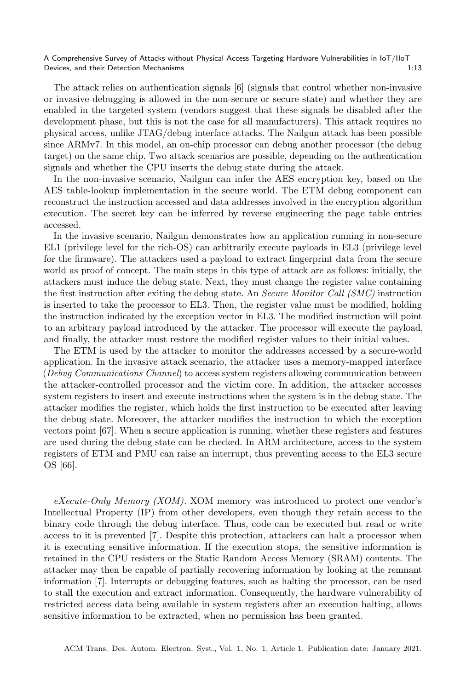The attack relies on authentication signals [6] (signals that control whether non-invasive or invasive debugging is allowed in the non-secure or secure state) and whether they are enabled in the targeted system (vendors suggest that these signals be disabled after the development phase, but this is not the case for all manufacturers). This attack requires no physical access, unlike JTAG/debug interface attacks. The Nailgun attack has been possible since ARMv7. In this model, an on-chip processor can debug another processor (the debug target) on the same chip. Two attack scenarios are possible, depending on the authentication signals and whether the CPU inserts the debug state during the attack.

In the non-invasive scenario, Nailgun can infer the AES encryption key, based on the AES table-lookup implementation in the secure world. The ETM debug component can reconstruct the instruction accessed and data addresses involved in the encryption algorithm execution. The secret key can be inferred by reverse engineering the page table entries accessed.

In the invasive scenario, Nailgun demonstrates how an application running in non-secure EL1 (privilege level for the rich-OS) can arbitrarily execute payloads in EL3 (privilege level for the firmware). The attackers used a payload to extract fingerprint data from the secure world as proof of concept. The main steps in this type of attack are as follows: initially, the attackers must induce the debug state. Next, they must change the register value containing the first instruction after exiting the debug state. An Secure Monitor Call (SMC) instruction is inserted to take the processor to EL3. Then, the register value must be modified, holding the instruction indicated by the exception vector in EL3. The modified instruction will point to an arbitrary payload introduced by the attacker. The processor will execute the payload, and finally, the attacker must restore the modified register values to their initial values.

The ETM is used by the attacker to monitor the addresses accessed by a secure-world application. In the invasive attack scenario, the attacker uses a memory-mapped interface (Debug Communications Channel) to access system registers allowing communication between the attacker-controlled processor and the victim core. In addition, the attacker accesses system registers to insert and execute instructions when the system is in the debug state. The attacker modifies the register, which holds the first instruction to be executed after leaving the debug state. Moreover, the attacker modifies the instruction to which the exception vectors point [67]. When a secure application is running, whether these registers and features are used during the debug state can be checked. In ARM architecture, access to the system registers of ETM and PMU can raise an interrupt, thus preventing access to the EL3 secure OS [66].

 $eXecute-Only Memory (XOM)$ . XOM memory was introduced to protect one vendor's Intellectual Property (IP) from other developers, even though they retain access to the binary code through the debug interface. Thus, code can be executed but read or write access to it is prevented [7]. Despite this protection, attackers can halt a processor when it is executing sensitive information. If the execution stops, the sensitive information is retained in the CPU resisters or the Static Random Access Memory (SRAM) contents. The attacker may then be capable of partially recovering information by looking at the remnant information [7]. Interrupts or debugging features, such as halting the processor, can be used to stall the execution and extract information. Consequently, the hardware vulnerability of restricted access data being available in system registers after an execution halting, allows sensitive information to be extracted, when no permission has been granted.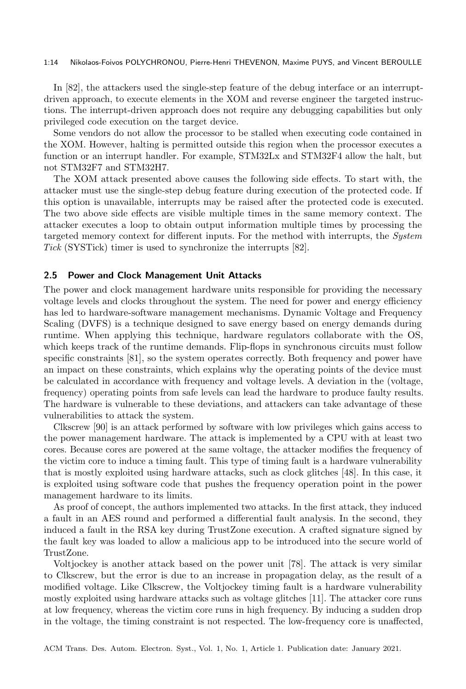#### 1:14 Nikolaos-Foivos POLYCHRONOU, Pierre-Henri THEVENON, Maxime PUYS, and Vincent BEROULLE

In [82], the attackers used the single-step feature of the debug interface or an interruptdriven approach, to execute elements in the XOM and reverse engineer the targeted instructions. The interrupt-driven approach does not require any debugging capabilities but only privileged code execution on the target device.

Some vendors do not allow the processor to be stalled when executing code contained in the XOM. However, halting is permitted outside this region when the processor executes a function or an interrupt handler. For example, STM32Lx and STM32F4 allow the halt, but not STM32F7 and STM32H7.

The XOM attack presented above causes the following side effects. To start with, the attacker must use the single-step debug feature during execution of the protected code. If this option is unavailable, interrupts may be raised after the protected code is executed. The two above side effects are visible multiple times in the same memory context. The attacker executes a loop to obtain output information multiple times by processing the targeted memory context for different inputs. For the method with interrupts, the System Tick (SYSTick) timer is used to synchronize the interrupts [82].

#### 2.5 Power and Clock Management Unit Attacks

The power and clock management hardware units responsible for providing the necessary voltage levels and clocks throughout the system. The need for power and energy efficiency has led to hardware-software management mechanisms. Dynamic Voltage and Frequency Scaling (DVFS) is a technique designed to save energy based on energy demands during runtime. When applying this technique, hardware regulators collaborate with the OS, which keeps track of the runtime demands. Flip-flops in synchronous circuits must follow specific constraints [81], so the system operates correctly. Both frequency and power have an impact on these constraints, which explains why the operating points of the device must be calculated in accordance with frequency and voltage levels. A deviation in the (voltage, frequency) operating points from safe levels can lead the hardware to produce faulty results. The hardware is vulnerable to these deviations, and attackers can take advantage of these vulnerabilities to attack the system.

Clkscrew [90] is an attack performed by software with low privileges which gains access to the power management hardware. The attack is implemented by a CPU with at least two cores. Because cores are powered at the same voltage, the attacker modifies the frequency of the victim core to induce a timing fault. This type of timing fault is a hardware vulnerability that is mostly exploited using hardware attacks, such as clock glitches [48]. In this case, it is exploited using software code that pushes the frequency operation point in the power management hardware to its limits.

As proof of concept, the authors implemented two attacks. In the first attack, they induced a fault in an AES round and performed a differential fault analysis. In the second, they induced a fault in the RSA key during TrustZone execution. A crafted signature signed by the fault key was loaded to allow a malicious app to be introduced into the secure world of TrustZone.

Voltjockey is another attack based on the power unit [78]. The attack is very similar to Clkscrew, but the error is due to an increase in propagation delay, as the result of a modified voltage. Like Clkscrew, the Voltjockey timing fault is a hardware vulnerability mostly exploited using hardware attacks such as voltage glitches [11]. The attacker core runs at low frequency, whereas the victim core runs in high frequency. By inducing a sudden drop in the voltage, the timing constraint is not respected. The low-frequency core is unaffected,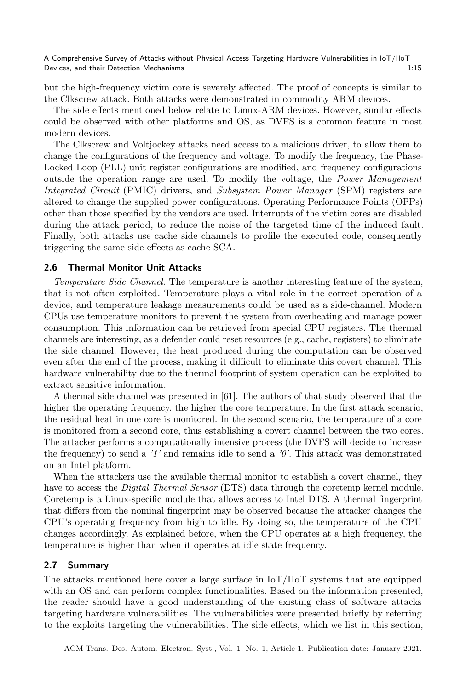but the high-frequency victim core is severely affected. The proof of concepts is similar to the Clkscrew attack. Both attacks were demonstrated in commodity ARM devices.

The side effects mentioned below relate to Linux-ARM devices. However, similar effects could be observed with other platforms and OS, as DVFS is a common feature in most modern devices.

The Clkscrew and Voltjockey attacks need access to a malicious driver, to allow them to change the configurations of the frequency and voltage. To modify the frequency, the Phase-Locked Loop (PLL) unit register configurations are modified, and frequency configurations outside the operation range are used. To modify the voltage, the Power Management Integrated Circuit (PMIC) drivers, and Subsystem Power Manager (SPM) registers are altered to change the supplied power configurations. Operating Performance Points (OPPs) other than those specified by the vendors are used. Interrupts of the victim cores are disabled during the attack period, to reduce the noise of the targeted time of the induced fault. Finally, both attacks use cache side channels to profile the executed code, consequently triggering the same side effects as cache SCA.

### 2.6 Thermal Monitor Unit Attacks

Temperature Side Channel. The temperature is another interesting feature of the system, that is not often exploited. Temperature plays a vital role in the correct operation of a device, and temperature leakage measurements could be used as a side-channel. Modern CPUs use temperature monitors to prevent the system from overheating and manage power consumption. This information can be retrieved from special CPU registers. The thermal channels are interesting, as a defender could reset resources (e.g., cache, registers) to eliminate the side channel. However, the heat produced during the computation can be observed even after the end of the process, making it difficult to eliminate this covert channel. This hardware vulnerability due to the thermal footprint of system operation can be exploited to extract sensitive information.

A thermal side channel was presented in [61]. The authors of that study observed that the higher the operating frequency, the higher the core temperature. In the first attack scenario, the residual heat in one core is monitored. In the second scenario, the temperature of a core is monitored from a second core, thus establishing a covert channel between the two cores. The attacker performs a computationally intensive process (the DVFS will decide to increase the frequency) to send a  $'1'$  and remains idle to send a  $'0'$ . This attack was demonstrated on an Intel platform.

When the attackers use the available thermal monitor to establish a covert channel, they have to access the *Digital Thermal Sensor* (DTS) data through the coretemp kernel module. Coretemp is a Linux-specific module that allows access to Intel DTS. A thermal fingerprint that differs from the nominal fingerprint may be observed because the attacker changes the CPU's operating frequency from high to idle. By doing so, the temperature of the CPU changes accordingly. As explained before, when the CPU operates at a high frequency, the temperature is higher than when it operates at idle state frequency.

#### 2.7 Summary

The attacks mentioned here cover a large surface in IoT/IIoT systems that are equipped with an OS and can perform complex functionalities. Based on the information presented, the reader should have a good understanding of the existing class of software attacks targeting hardware vulnerabilities. The vulnerabilities were presented briefly by referring to the exploits targeting the vulnerabilities. The side effects, which we list in this section,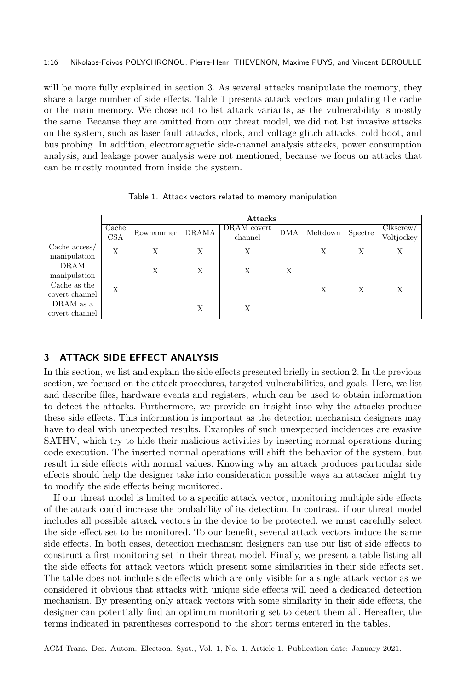#### 1:16 Nikolaos-Foivos POLYCHRONOU, Pierre-Henri THEVENON, Maxime PUYS, and Vincent BEROULLE

will be more fully explained in section 3. As several attacks manipulate the memory, they share a large number of side effects. Table 1 presents attack vectors manipulating the cache or the main memory. We chose not to list attack variants, as the vulnerability is mostly the same. Because they are omitted from our threat model, we did not list invasive attacks on the system, such as laser fault attacks, clock, and voltage glitch attacks, cold boot, and bus probing. In addition, electromagnetic side-channel analysis attacks, power consumption analysis, and leakage power analysis were not mentioned, because we focus on attacks that can be mostly mounted from inside the system.

|                                   | <b>Attacks</b>                |           |              |                        |     |          |         |                         |
|-----------------------------------|-------------------------------|-----------|--------------|------------------------|-----|----------|---------|-------------------------|
|                                   | $\operatorname{Cache}$<br>CSA | Rowhammer | <b>DRAMA</b> | DRAM covert<br>channel | DMA | Meltdown | Spectre | Clkscrew/<br>Voltjockey |
| Cache $\arccos\!$<br>manipulation | X                             | Х         | X            | Х                      |     | Χ        | Χ       | Х                       |
| DRAM<br>manipulation              |                               | X         | X            | Χ                      | Х   |          |         |                         |
| Cache as the<br>covert channel    | Χ                             |           |              |                        |     | X        | X       | Х                       |
| DRAM as a<br>covert channel       |                               |           | X            | Х                      |     |          |         |                         |

Table 1. Attack vectors related to memory manipulation

## 3 ATTACK SIDE EFFECT ANALYSIS

In this section, we list and explain the side effects presented briefly in section 2. In the previous section, we focused on the attack procedures, targeted vulnerabilities, and goals. Here, we list and describe files, hardware events and registers, which can be used to obtain information to detect the attacks. Furthermore, we provide an insight into why the attacks produce these side effects. This information is important as the detection mechanism designers may have to deal with unexpected results. Examples of such unexpected incidences are evasive SATHV, which try to hide their malicious activities by inserting normal operations during code execution. The inserted normal operations will shift the behavior of the system, but result in side effects with normal values. Knowing why an attack produces particular side effects should help the designer take into consideration possible ways an attacker might try to modify the side effects being monitored.

If our threat model is limited to a specific attack vector, monitoring multiple side effects of the attack could increase the probability of its detection. In contrast, if our threat model includes all possible attack vectors in the device to be protected, we must carefully select the side effect set to be monitored. To our benefit, several attack vectors induce the same side effects. In both cases, detection mechanism designers can use our list of side effects to construct a first monitoring set in their threat model. Finally, we present a table listing all the side effects for attack vectors which present some similarities in their side effects set. The table does not include side effects which are only visible for a single attack vector as we considered it obvious that attacks with unique side effects will need a dedicated detection mechanism. By presenting only attack vectors with some similarity in their side effects, the designer can potentially find an optimum monitoring set to detect them all. Hereafter, the terms indicated in parentheses correspond to the short terms entered in the tables.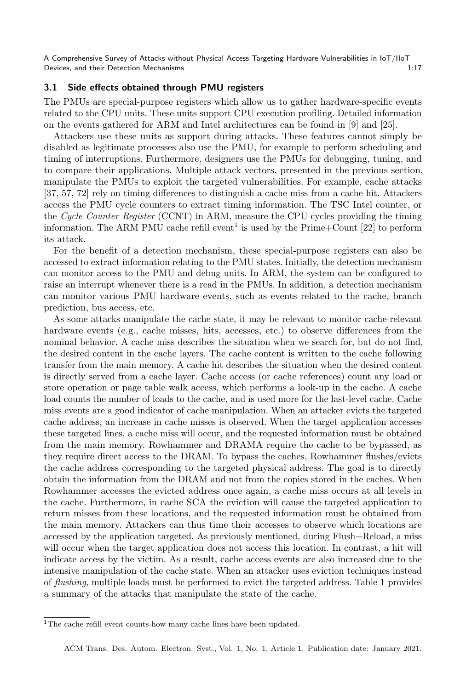## 3.1 Side effects obtained through PMU registers

The PMUs are special-purpose registers which allow us to gather hardware-specific events related to the CPU units. These units support CPU execution profiling. Detailed information on the events gathered for ARM and Intel architectures can be found in [9] and [25].

Attackers use these units as support during attacks. These features cannot simply be disabled as legitimate processes also use the PMU, for example to perform scheduling and timing of interruptions. Furthermore, designers use the PMUs for debugging, tuning, and to compare their applications. Multiple attack vectors, presented in the previous section, manipulate the PMUs to exploit the targeted vulnerabilities. For example, cache attacks [37, 57, 72] rely on timing differences to distinguish a cache miss from a cache hit. Attackers access the PMU cycle counters to extract timing information. The TSC Intel counter, or the Cycle Counter Register (CCNT) in ARM, measure the CPU cycles providing the timing information. The ARM PMU cache refill event<sup>1</sup> is used by the Prime+Count  $[22]$  to perform its attack.

For the benefit of a detection mechanism, these special-purpose registers can also be accessed to extract information relating to the PMU states. Initially, the detection mechanism can monitor access to the PMU and debug units. In ARM, the system can be configured to raise an interrupt whenever there is a read in the PMUs. In addition, a detection mechanism can monitor various PMU hardware events, such as events related to the cache, branch prediction, bus access, etc.

As some attacks manipulate the cache state, it may be relevant to monitor cache-relevant hardware events (e.g., cache misses, hits, accesses, etc.) to observe differences from the nominal behavior. A cache miss describes the situation when we search for, but do not find, the desired content in the cache layers. The cache content is written to the cache following transfer from the main memory. A cache hit describes the situation when the desired content is directly served from a cache layer. Cache access (or cache references) count any load or store operation or page table walk access, which performs a look-up in the cache. A cache load counts the number of loads to the cache, and is used more for the last-level cache. Cache miss events are a good indicator of cache manipulation. When an attacker evicts the targeted cache address, an increase in cache misses is observed. When the target application accesses these targeted lines, a cache miss will occur, and the requested information must be obtained from the main memory. Rowhammer and DRAMA require the cache to be bypassed, as they require direct access to the DRAM. To bypass the caches, Rowhammer flushes/evicts the cache address corresponding to the targeted physical address. The goal is to directly obtain the information from the DRAM and not from the copies stored in the caches. When Rowhammer accesses the evicted address once again, a cache miss occurs at all levels in the cache. Furthermore, in cache SCA the eviction will cause the targeted application to return misses from these locations, and the requested information must be obtained from the main memory. Attackers can thus time their accesses to observe which locations are accessed by the application targeted. As previously mentioned, during Flush+Reload, a miss will occur when the target application does not access this location. In contrast, a hit will indicate access by the victim. As a result, cache access events are also increased due to the intensive manipulation of the cache state. When an attacker uses eviction techniques instead of flushing, multiple loads must be performed to evict the targeted address. Table 1 provides a summary of the attacks that manipulate the state of the cache.

<sup>&</sup>lt;sup>1</sup>The cache refill event counts how many cache lines have been updated.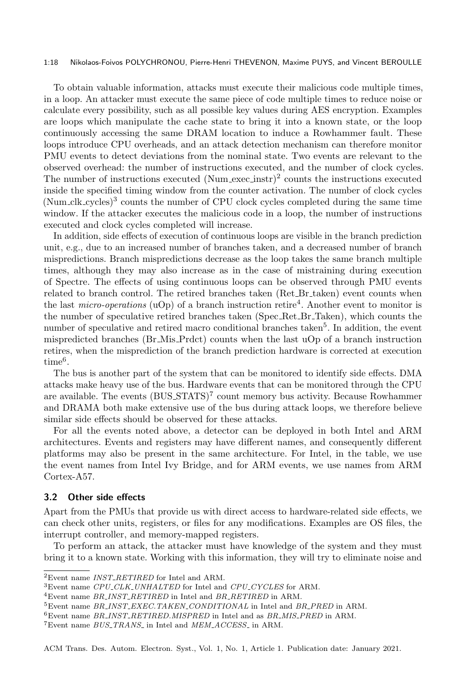#### 1:18 Nikolaos-Foivos POLYCHRONOU, Pierre-Henri THEVENON, Maxime PUYS, and Vincent BEROULLE

To obtain valuable information, attacks must execute their malicious code multiple times, in a loop. An attacker must execute the same piece of code multiple times to reduce noise or calculate every possibility, such as all possible key values during AES encryption. Examples are loops which manipulate the cache state to bring it into a known state, or the loop continuously accessing the same DRAM location to induce a Rowhammer fault. These loops introduce CPU overheads, and an attack detection mechanism can therefore monitor PMU events to detect deviations from the nominal state. Two events are relevant to the observed overhead: the number of instructions executed, and the number of clock cycles. The number of instructions executed  $(Num\_exec\_instr)^2$  counts the instructions executed inside the specified timing window from the counter activation. The number of clock cycles (Num clk cycles)3 counts the number of CPU clock cycles completed during the same time window. If the attacker executes the malicious code in a loop, the number of instructions executed and clock cycles completed will increase.

In addition, side effects of execution of continuous loops are visible in the branch prediction unit, e.g., due to an increased number of branches taken, and a decreased number of branch mispredictions. Branch mispredictions decrease as the loop takes the same branch multiple times, although they may also increase as in the case of mistraining during execution of Spectre. The effects of using continuous loops can be observed through PMU events related to branch control. The retired branches taken (Ret\_Br\_taken) event counts when the last *micro-operations* (uOp) of a branch instruction retire<sup>4</sup>. Another event to monitor is the number of speculative retired branches taken (Spec Ret Br Taken), which counts the number of speculative and retired macro conditional branches taken<sup>5</sup>. In addition, the event mispredicted branches (Br Mis Prdct) counts when the last uOp of a branch instruction retires, when the misprediction of the branch prediction hardware is corrected at execution  $time^6$ .

The bus is another part of the system that can be monitored to identify side effects. DMA attacks make heavy use of the bus. Hardware events that can be monitored through the CPU are available. The events (BUS\_STATS)<sup>7</sup> count memory bus activity. Because Rowhammer and DRAMA both make extensive use of the bus during attack loops, we therefore believe similar side effects should be observed for these attacks.

For all the events noted above, a detector can be deployed in both Intel and ARM architectures. Events and registers may have different names, and consequently different platforms may also be present in the same architecture. For Intel, in the table, we use the event names from Intel Ivy Bridge, and for ARM events, we use names from ARM Cortex-A57.

## 3.2 Other side effects

Apart from the PMUs that provide us with direct access to hardware-related side effects, we can check other units, registers, or files for any modifications. Examples are OS files, the interrupt controller, and memory-mapped registers.

To perform an attack, the attacker must have knowledge of the system and they must bring it to a known state. Working with this information, they will try to eliminate noise and

 ${}^{2}$ Event name *INST\_RETIRED* for Intel and ARM.

 $^3\rm{Event}$  name  $CPU\_CLK\_UNHALTED$  for Intel and  $CPU\_CYCLES$  for ARM.

 $^4\rm{Event}$  name  $BR\_INST\_RETIRED$  in Intel and  $BR\_RETIRED$  in ARM.

 $5$ Event name BR\_INST\_EXEC.TAKEN\_CONDITIONAL in Intel and BR\_PRED in ARM.

 $6$ Event name BR\_INST\_RETIRED.MISPRED in Intel and as BR\_MIS\_PRED in ARM.

 $7$ Event name  $BUS\_TRANS$  in Intel and  $MEM\_ACCES$  in ARM.

ACM Trans. Des. Autom. Electron. Syst., Vol. 1, No. 1, Article 1. Publication date: January 2021.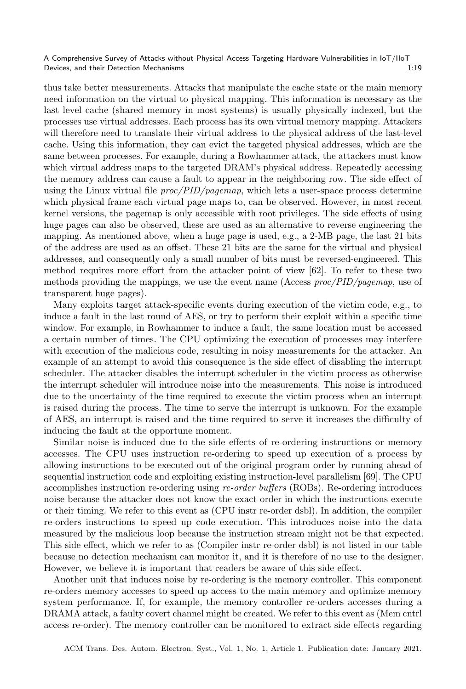thus take better measurements. Attacks that manipulate the cache state or the main memory need information on the virtual to physical mapping. This information is necessary as the last level cache (shared memory in most systems) is usually physically indexed, but the processes use virtual addresses. Each process has its own virtual memory mapping. Attackers will therefore need to translate their virtual address to the physical address of the last-level cache. Using this information, they can evict the targeted physical addresses, which are the same between processes. For example, during a Rowhammer attack, the attackers must know which virtual address maps to the targeted DRAM's physical address. Repeatedly accessing the memory address can cause a fault to appear in the neighboring row. The side effect of using the Linux virtual file  $proc/PID/pagemap$ , which lets a user-space process determine which physical frame each virtual page maps to, can be observed. However, in most recent kernel versions, the pagemap is only accessible with root privileges. The side effects of using huge pages can also be observed, these are used as an alternative to reverse engineering the mapping. As mentioned above, when a huge page is used, e.g., a 2-MB page, the last 21 bits of the address are used as an offset. These 21 bits are the same for the virtual and physical addresses, and consequently only a small number of bits must be reversed-engineered. This method requires more effort from the attacker point of view [62]. To refer to these two methods providing the mappings, we use the event name (Access  $proc/PID/pagemap$ , use of transparent huge pages).

Many exploits target attack-specific events during execution of the victim code, e.g., to induce a fault in the last round of AES, or try to perform their exploit within a specific time window. For example, in Rowhammer to induce a fault, the same location must be accessed a certain number of times. The CPU optimizing the execution of processes may interfere with execution of the malicious code, resulting in noisy measurements for the attacker. An example of an attempt to avoid this consequence is the side effect of disabling the interrupt scheduler. The attacker disables the interrupt scheduler in the victim process as otherwise the interrupt scheduler will introduce noise into the measurements. This noise is introduced due to the uncertainty of the time required to execute the victim process when an interrupt is raised during the process. The time to serve the interrupt is unknown. For the example of AES, an interrupt is raised and the time required to serve it increases the difficulty of inducing the fault at the opportune moment.

Similar noise is induced due to the side effects of re-ordering instructions or memory accesses. The CPU uses instruction re-ordering to speed up execution of a process by allowing instructions to be executed out of the original program order by running ahead of sequential instruction code and exploiting existing instruction-level parallelism [69]. The CPU accomplishes instruction re-ordering using re-order buffers (ROBs). Re-ordering introduces noise because the attacker does not know the exact order in which the instructions execute or their timing. We refer to this event as (CPU instr re-order dsbl). In addition, the compiler re-orders instructions to speed up code execution. This introduces noise into the data measured by the malicious loop because the instruction stream might not be that expected. This side effect, which we refer to as (Compiler instr re-order dsbl) is not listed in our table because no detection mechanism can monitor it, and it is therefore of no use to the designer. However, we believe it is important that readers be aware of this side effect.

Another unit that induces noise by re-ordering is the memory controller. This component re-orders memory accesses to speed up access to the main memory and optimize memory system performance. If, for example, the memory controller re-orders accesses during a DRAMA attack, a faulty covert channel might be created. We refer to this event as (Mem cntrl access re-order). The memory controller can be monitored to extract side effects regarding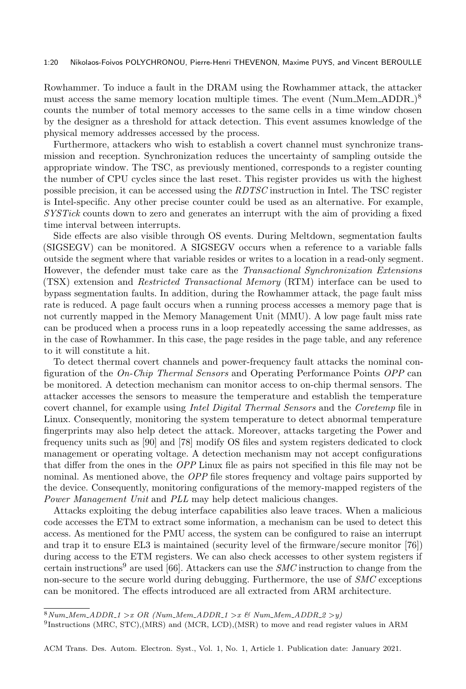#### 1:20 Nikolaos-Foivos POLYCHRONOU, Pierre-Henri THEVENON, Maxime PUYS, and Vincent BEROULLE

Rowhammer. To induce a fault in the DRAM using the Rowhammer attack, the attacker must access the same memory location multiple times. The event (Num\_Mem\_ADDR\_)<sup>8</sup> counts the number of total memory accesses to the same cells in a time window chosen by the designer as a threshold for attack detection. This event assumes knowledge of the physical memory addresses accessed by the process.

Furthermore, attackers who wish to establish a covert channel must synchronize transmission and reception. Synchronization reduces the uncertainty of sampling outside the appropriate window. The TSC, as previously mentioned, corresponds to a register counting the number of CPU cycles since the last reset. This register provides us with the highest possible precision, it can be accessed using the RDTSC instruction in Intel. The TSC register is Intel-specific. Any other precise counter could be used as an alternative. For example, SYSTick counts down to zero and generates an interrupt with the aim of providing a fixed time interval between interrupts.

Side effects are also visible through OS events. During Meltdown, segmentation faults (SIGSEGV) can be monitored. A SIGSEGV occurs when a reference to a variable falls outside the segment where that variable resides or writes to a location in a read-only segment. However, the defender must take care as the Transactional Synchronization Extensions (TSX) extension and Restricted Transactional Memory (RTM) interface can be used to bypass segmentation faults. In addition, during the Rowhammer attack, the page fault miss rate is reduced. A page fault occurs when a running process accesses a memory page that is not currently mapped in the Memory Management Unit (MMU). A low page fault miss rate can be produced when a process runs in a loop repeatedly accessing the same addresses, as in the case of Rowhammer. In this case, the page resides in the page table, and any reference to it will constitute a hit.

To detect thermal covert channels and power-frequency fault attacks the nominal configuration of the On-Chip Thermal Sensors and Operating Performance Points OPP can be monitored. A detection mechanism can monitor access to on-chip thermal sensors. The attacker accesses the sensors to measure the temperature and establish the temperature covert channel, for example using Intel Digital Thermal Sensors and the Coretemp file in Linux. Consequently, monitoring the system temperature to detect abnormal temperature fingerprints may also help detect the attack. Moreover, attacks targeting the Power and frequency units such as [90] and [78] modify OS files and system registers dedicated to clock management or operating voltage. A detection mechanism may not accept configurations that differ from the ones in the OPP Linux file as pairs not specified in this file may not be nominal. As mentioned above, the OPP file stores frequency and voltage pairs supported by the device. Consequently, monitoring configurations of the memory-mapped registers of the Power Management Unit and PLL may help detect malicious changes.

Attacks exploiting the debug interface capabilities also leave traces. When a malicious code accesses the ETM to extract some information, a mechanism can be used to detect this access. As mentioned for the PMU access, the system can be configured to raise an interrupt and trap it to ensure EL3 is maintained (security level of the firmware/secure monitor [76]) during access to the ETM registers. We can also check accesses to other system registers if certain instructions<sup>9</sup> are used [66]. Attackers can use the  $SMC$  instruction to change from the non-secure to the secure world during debugging. Furthermore, the use of SMC exceptions can be monitored. The effects introduced are all extracted from ARM architecture.

 $8Num_Mem_ADDR_1 > x \ OR \ (Num_Mem_ADDR_1 > x \ CD \ Num_Mem_ADDR_2 > y)$ 

<sup>9</sup> Instructions (MRC, STC),(MRS) and (MCR, LCD),(MSR) to move and read register values in ARM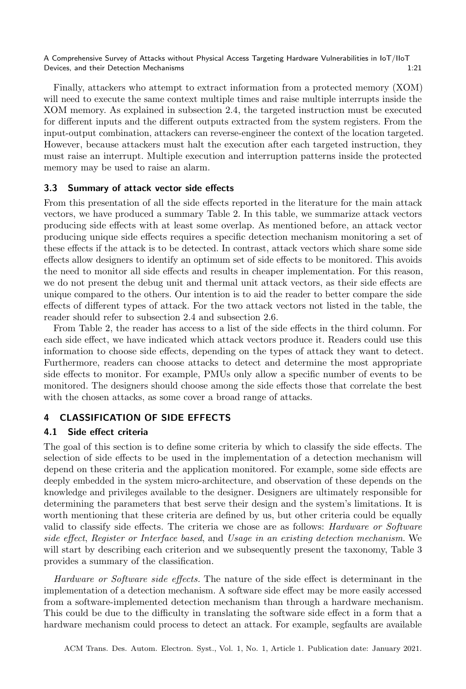Finally, attackers who attempt to extract information from a protected memory (XOM) will need to execute the same context multiple times and raise multiple interrupts inside the XOM memory. As explained in subsection 2.4, the targeted instruction must be executed for different inputs and the different outputs extracted from the system registers. From the input-output combination, attackers can reverse-engineer the context of the location targeted. However, because attackers must halt the execution after each targeted instruction, they must raise an interrupt. Multiple execution and interruption patterns inside the protected memory may be used to raise an alarm.

## 3.3 Summary of attack vector side effects

From this presentation of all the side effects reported in the literature for the main attack vectors, we have produced a summary Table 2. In this table, we summarize attack vectors producing side effects with at least some overlap. As mentioned before, an attack vector producing unique side effects requires a specific detection mechanism monitoring a set of these effects if the attack is to be detected. In contrast, attack vectors which share some side effects allow designers to identify an optimum set of side effects to be monitored. This avoids the need to monitor all side effects and results in cheaper implementation. For this reason, we do not present the debug unit and thermal unit attack vectors, as their side effects are unique compared to the others. Our intention is to aid the reader to better compare the side effects of different types of attack. For the two attack vectors not listed in the table, the reader should refer to subsection 2.4 and subsection 2.6.

From Table 2, the reader has access to a list of the side effects in the third column. For each side effect, we have indicated which attack vectors produce it. Readers could use this information to choose side effects, depending on the types of attack they want to detect. Furthermore, readers can choose attacks to detect and determine the most appropriate side effects to monitor. For example, PMUs only allow a specific number of events to be monitored. The designers should choose among the side effects those that correlate the best with the chosen attacks, as some cover a broad range of attacks.

## 4 CLASSIFICATION OF SIDE EFFECTS

## 4.1 Side effect criteria

The goal of this section is to define some criteria by which to classify the side effects. The selection of side effects to be used in the implementation of a detection mechanism will depend on these criteria and the application monitored. For example, some side effects are deeply embedded in the system micro-architecture, and observation of these depends on the knowledge and privileges available to the designer. Designers are ultimately responsible for determining the parameters that best serve their design and the system's limitations. It is worth mentioning that these criteria are defined by us, but other criteria could be equally valid to classify side effects. The criteria we chose are as follows: Hardware or Software side effect, Register or Interface based, and Usage in an existing detection mechanism. We will start by describing each criterion and we subsequently present the taxonomy, Table 3 provides a summary of the classification.

Hardware or Software side effects. The nature of the side effect is determinant in the implementation of a detection mechanism. A software side effect may be more easily accessed from a software-implemented detection mechanism than through a hardware mechanism. This could be due to the difficulty in translating the software side effect in a form that a hardware mechanism could process to detect an attack. For example, segfaults are available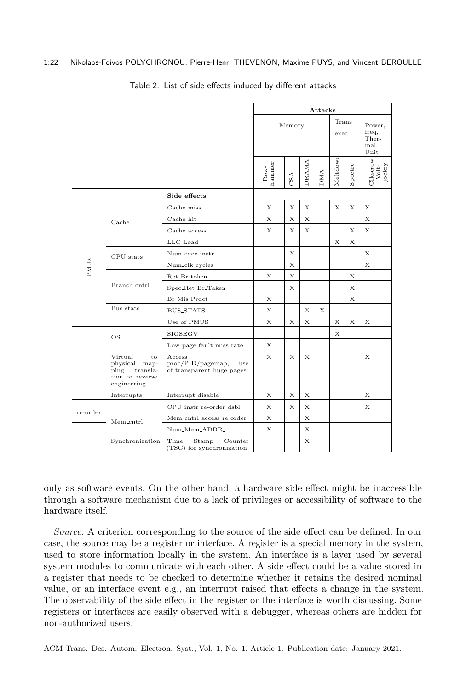#### 1:22 Nikolaos-Foivos POLYCHRONOU, Pierre-Henri THEVENON, Maxime PUYS, and Vincent BEROULLE

|          |                                                                                      |                                                                 | Attacks<br>Trans<br>Memory<br>freq,<br>exec<br>Ther-<br>mal<br>Unit |     |              |            |          |             |                             |
|----------|--------------------------------------------------------------------------------------|-----------------------------------------------------------------|---------------------------------------------------------------------|-----|--------------|------------|----------|-------------|-----------------------------|
|          |                                                                                      |                                                                 |                                                                     |     |              |            |          | Power,      |                             |
|          |                                                                                      |                                                                 | Row-<br>hammer                                                      | CSA | <b>DRAMA</b> | <b>DMA</b> | Meltdown | Spectre     | Clkscrew<br>Volt-<br>jockey |
|          |                                                                                      | Side effects                                                    |                                                                     |     |              |            |          |             |                             |
|          |                                                                                      | Cache miss                                                      | X                                                                   | X   | Х            |            | X        | X           | Х                           |
|          | Cache                                                                                | Cache hit                                                       | X                                                                   | Х   | Х            |            |          |             | X                           |
|          |                                                                                      | Cache access                                                    | Х                                                                   | X   | X            |            |          | X           | X                           |
|          |                                                                                      | LLC Load                                                        |                                                                     |     |              |            | X        | X           |                             |
|          | CPU stats                                                                            | Num_exec instr                                                  |                                                                     | Х   |              |            |          |             | Х                           |
| PMUs     |                                                                                      | Num_clk cycles                                                  |                                                                     | Х   |              |            |          |             | X                           |
|          |                                                                                      | Ret_Br taken                                                    | X                                                                   | X   |              |            |          | X           |                             |
|          | Branch cntrl                                                                         | Spec_Ret Br_Taken                                               |                                                                     | X   |              |            |          | Х           |                             |
|          |                                                                                      | Br_Mis Prdct                                                    | X                                                                   |     |              |            |          | $\mathbf x$ |                             |
|          | Bus stats                                                                            | BUS_STATS                                                       | X                                                                   |     | Х            | Х          |          |             |                             |
|          |                                                                                      | Use of PMUS                                                     | X                                                                   | X   | X            |            | X        | X           | X                           |
|          | OS                                                                                   | SIGSEGV                                                         |                                                                     |     |              |            | X        |             |                             |
|          |                                                                                      | Low page fault miss rate                                        | X                                                                   |     |              |            |          |             |                             |
|          | Virtual<br>to<br>physical map-<br>ping<br>transla-<br>tion or reverse<br>engineering | Access<br>proc/PID/pagemap,<br>use<br>of transparent huge pages |                                                                     | X   | X            |            |          |             | Х                           |
|          | Interrupts                                                                           | Interrupt disable                                               | X                                                                   | X   | X            |            |          |             | X                           |
|          |                                                                                      | CPU instr re-order dsbl                                         | X                                                                   | X   | X            |            |          |             | X                           |
| re-order | Mem_cntrl                                                                            | Mem cntrl access re order                                       | Х                                                                   |     | X            |            |          |             |                             |
|          |                                                                                      | Num_Mem_ADDR_                                                   | Х                                                                   |     | X            |            |          |             |                             |
|          | Synchronization                                                                      | Time<br>Counter<br>Stamp<br>(TSC) for synchronization           |                                                                     |     | X            |            |          |             |                             |

#### Table 2. List of side effects induced by different attacks

only as software events. On the other hand, a hardware side effect might be inaccessible through a software mechanism due to a lack of privileges or accessibility of software to the hardware itself.

Source. A criterion corresponding to the source of the side effect can be defined. In our case, the source may be a register or interface. A register is a special memory in the system, used to store information locally in the system. An interface is a layer used by several system modules to communicate with each other. A side effect could be a value stored in a register that needs to be checked to determine whether it retains the desired nominal value, or an interface event e.g., an interrupt raised that effects a change in the system. The observability of the side effect in the register or the interface is worth discussing. Some registers or interfaces are easily observed with a debugger, whereas others are hidden for non-authorized users.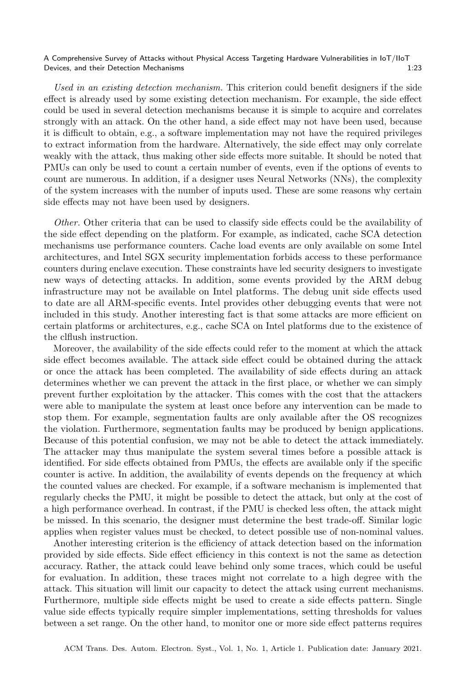Used in an existing detection mechanism. This criterion could benefit designers if the side effect is already used by some existing detection mechanism. For example, the side effect could be used in several detection mechanisms because it is simple to acquire and correlates strongly with an attack. On the other hand, a side effect may not have been used, because it is difficult to obtain, e.g., a software implementation may not have the required privileges to extract information from the hardware. Alternatively, the side effect may only correlate weakly with the attack, thus making other side effects more suitable. It should be noted that PMUs can only be used to count a certain number of events, even if the options of events to count are numerous. In addition, if a designer uses Neural Networks (NNs), the complexity of the system increases with the number of inputs used. These are some reasons why certain side effects may not have been used by designers.

Other. Other criteria that can be used to classify side effects could be the availability of the side effect depending on the platform. For example, as indicated, cache SCA detection mechanisms use performance counters. Cache load events are only available on some Intel architectures, and Intel SGX security implementation forbids access to these performance counters during enclave execution. These constraints have led security designers to investigate new ways of detecting attacks. In addition, some events provided by the ARM debug infrastructure may not be available on Intel platforms. The debug unit side effects used to date are all ARM-specific events. Intel provides other debugging events that were not included in this study. Another interesting fact is that some attacks are more efficient on certain platforms or architectures, e.g., cache SCA on Intel platforms due to the existence of the clflush instruction.

Moreover, the availability of the side effects could refer to the moment at which the attack side effect becomes available. The attack side effect could be obtained during the attack or once the attack has been completed. The availability of side effects during an attack determines whether we can prevent the attack in the first place, or whether we can simply prevent further exploitation by the attacker. This comes with the cost that the attackers were able to manipulate the system at least once before any intervention can be made to stop them. For example, segmentation faults are only available after the OS recognizes the violation. Furthermore, segmentation faults may be produced by benign applications. Because of this potential confusion, we may not be able to detect the attack immediately. The attacker may thus manipulate the system several times before a possible attack is identified. For side effects obtained from PMUs, the effects are available only if the specific counter is active. In addition, the availability of events depends on the frequency at which the counted values are checked. For example, if a software mechanism is implemented that regularly checks the PMU, it might be possible to detect the attack, but only at the cost of a high performance overhead. In contrast, if the PMU is checked less often, the attack might be missed. In this scenario, the designer must determine the best trade-off. Similar logic applies when register values must be checked, to detect possible use of non-nominal values.

Another interesting criterion is the efficiency of attack detection based on the information provided by side effects. Side effect efficiency in this context is not the same as detection accuracy. Rather, the attack could leave behind only some traces, which could be useful for evaluation. In addition, these traces might not correlate to a high degree with the attack. This situation will limit our capacity to detect the attack using current mechanisms. Furthermore, multiple side effects might be used to create a side effects pattern. Single value side effects typically require simpler implementations, setting thresholds for values between a set range. On the other hand, to monitor one or more side effect patterns requires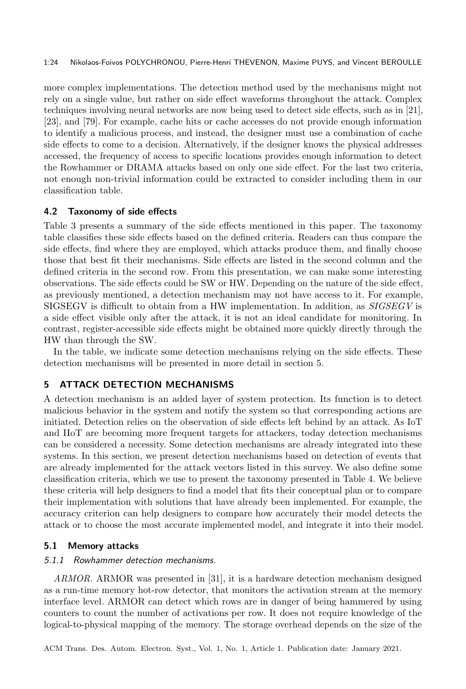more complex implementations. The detection method used by the mechanisms might not rely on a single value, but rather on side effect waveforms throughout the attack. Complex techniques involving neural networks are now being used to detect side effects, such as in [21], [23], and [79]. For example, cache hits or cache accesses do not provide enough information to identify a malicious process, and instead, the designer must use a combination of cache side effects to come to a decision. Alternatively, if the designer knows the physical addresses accessed, the frequency of access to specific locations provides enough information to detect the Rowhammer or DRAMA attacks based on only one side effect. For the last two criteria, not enough non-trivial information could be extracted to consider including them in our classification table.

## 4.2 Taxonomy of side effects

Table 3 presents a summary of the side effects mentioned in this paper. The taxonomy table classifies these side effects based on the defined criteria. Readers can thus compare the side effects, find where they are employed, which attacks produce them, and finally choose those that best fit their mechanisms. Side effects are listed in the second column and the defined criteria in the second row. From this presentation, we can make some interesting observations. The side effects could be SW or HW. Depending on the nature of the side effect, as previously mentioned, a detection mechanism may not have access to it. For example, SIGSEGV is difficult to obtain from a HW implementation. In addition, as SIGSEGV is a side effect visible only after the attack, it is not an ideal candidate for monitoring. In contrast, register-accessible side effects might be obtained more quickly directly through the HW than through the SW.

In the table, we indicate some detection mechanisms relying on the side effects. These detection mechanisms will be presented in more detail in section 5.

## 5 ATTACK DETECTION MECHANISMS

A detection mechanism is an added layer of system protection. Its function is to detect malicious behavior in the system and notify the system so that corresponding actions are initiated. Detection relies on the observation of side effects left behind by an attack. As IoT and IIoT are becoming more frequent targets for attackers, today detection mechanisms can be considered a necessity. Some detection mechanisms are already integrated into these systems. In this section, we present detection mechanisms based on detection of events that are already implemented for the attack vectors listed in this survey. We also define some classification criteria, which we use to present the taxonomy presented in Table 4. We believe these criteria will help designers to find a model that fits their conceptual plan or to compare their implementation with solutions that have already been implemented. For example, the accuracy criterion can help designers to compare how accurately their model detects the attack or to choose the most accurate implemented model, and integrate it into their model.

#### 5.1 Memory attacks

#### 5.1.1 Rowhammer detection mechanisms.

ARMOR. ARMOR was presented in [31], it is a hardware detection mechanism designed as a run-time memory hot-row detector, that monitors the activation stream at the memory interface level. ARMOR can detect which rows are in danger of being hammered by using counters to count the number of activations per row. It does not require knowledge of the logical-to-physical mapping of the memory. The storage overhead depends on the size of the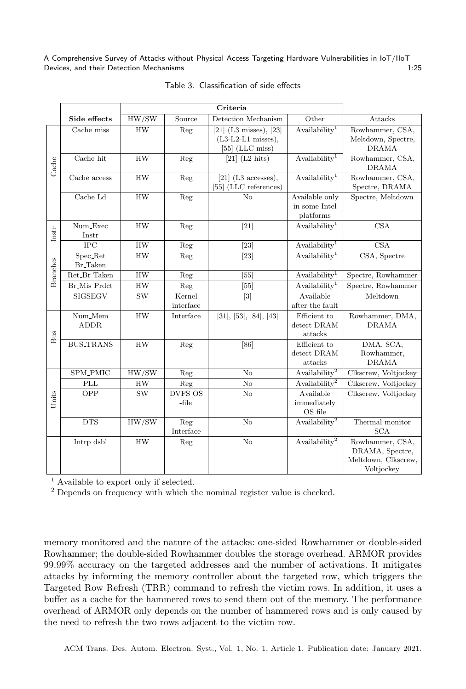|                        | Side effects             | HW/SW     | Source              | Detection Mechanism                                                     | Other                                        | Attacks                                                                 |  |
|------------------------|--------------------------|-----------|---------------------|-------------------------------------------------------------------------|----------------------------------------------|-------------------------------------------------------------------------|--|
|                        | Cache miss               | <b>HW</b> | Reg                 | $[21]$ (L3 misses), $[23]$<br>$(L3-L2-L1$ misses),<br>$[55]$ (LLC miss) | Availability <sup>1</sup>                    | Rowhammer, CSA,<br>Meltdown, Spectre,<br><b>DRAMA</b>                   |  |
| $\operatorname{Cache}$ | Cache_hit                | <b>HW</b> | Reg                 | $[21]$ (L2 hits)                                                        | $A$ vailability <sup>1</sup>                 | Rowhammer, CSA,<br><b>DRAMA</b>                                         |  |
|                        | Cache access             | HW        | Reg                 | [21] $(L3$ accesses),<br>[55] (LLC references)                          | $A$ vailability <sup>1</sup>                 | Rowhammer, CSA,<br>Spectre, DRAMA                                       |  |
|                        | Cache Ld                 | HW        | Reg                 | No                                                                      | Available only<br>in some Intel<br>platforms | Spectre, Meltdown                                                       |  |
| $_{\mathrm{Instr}}$    | Num_Exec<br>Instr        | <b>HW</b> | Reg                 | $[21]$                                                                  | $A$ vailability <sup>1</sup>                 | <b>CSA</b>                                                              |  |
|                        | $_{\rm IPC}$             | HW        | Reg                 | [23]                                                                    | Availability <sup>1</sup>                    | <b>CSA</b>                                                              |  |
| <b>Branches</b>        | Spec_Ret<br>Br_Taken     | <b>HW</b> | Reg                 | $[23]$                                                                  | $A$ vailability <sup>1</sup>                 | CSA, Spectre                                                            |  |
|                        | Ret_Br Taken             | HW        | Reg                 | $[55]$                                                                  | Availability <sup>1</sup>                    | Spectre, Rowhammer                                                      |  |
|                        | Br_Mis Prdct             | <b>HW</b> | Reg                 | $[55]$                                                                  | Availability <sup>1</sup>                    | Spectre, Rowhammer                                                      |  |
|                        | SIGSEGV                  | <b>SW</b> | Kernel<br>interface | $[3]$                                                                   | Available<br>after the fault                 | Meltdown                                                                |  |
| $_{\rm{Bus}}$          | $Num_Mem$<br><b>ADDR</b> | HW        | Interface           | [31], [53], [84], [43]                                                  | Efficient to<br>detect DRAM<br>attacks       | Rowhammer, DMA,<br><b>DRAMA</b>                                         |  |
|                        | <b>BUS_TRANS</b>         | <b>HW</b> | Reg                 | [86]                                                                    | Efficient to<br>detect DRAM<br>attacks       | DMA, SCA,<br>Rowhammer,<br><b>DRAMA</b>                                 |  |
|                        | SPM_PMIC                 | HW/SW     | Reg                 | No                                                                      | Availability <sup>2</sup>                    | Clkscrew, Voltjockey                                                    |  |
| Units                  | $\mathop{\rm PLL}$       | HW        | Reg                 | No                                                                      | Availability <sup>2</sup>                    | Clkscrew, Voltjockey                                                    |  |
|                        | OPP                      | <b>SW</b> | DVFS OS<br>-file    | No                                                                      | Available<br>immediately<br>OS file          | Clkscrew, Voltjockey                                                    |  |
|                        | <b>DTS</b>               | HW/SW     | Reg<br>Interface    | No                                                                      | Availability <sup>2</sup>                    | Thermal monitor<br><b>SCA</b>                                           |  |
|                        | Intrp dsbl               | <b>HW</b> | Reg                 | No                                                                      | Availability <sup>2</sup>                    | Rowhammer, CSA,<br>DRAMA, Spectre,<br>Meltdown, Clkscrew,<br>Voltjockey |  |

#### Table 3. Classification of side effects

<sup>1</sup> Available to export only if selected.

<sup>2</sup> Depends on frequency with which the nominal register value is checked.

memory monitored and the nature of the attacks: one-sided Rowhammer or double-sided Rowhammer; the double-sided Rowhammer doubles the storage overhead. ARMOR provides 99.99% accuracy on the targeted addresses and the number of activations. It mitigates attacks by informing the memory controller about the targeted row, which triggers the Targeted Row Refresh (TRR) command to refresh the victim rows. In addition, it uses a buffer as a cache for the hammered rows to send them out of the memory. The performance overhead of ARMOR only depends on the number of hammered rows and is only caused by the need to refresh the two rows adjacent to the victim row.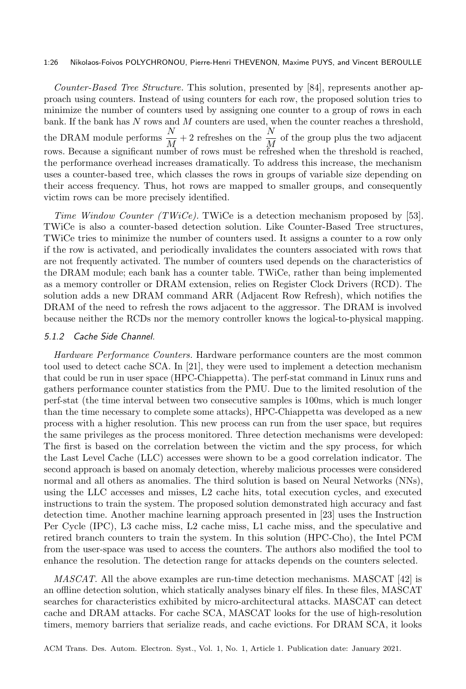#### 1:26 Nikolaos-Foivos POLYCHRONOU, Pierre-Henri THEVENON, Maxime PUYS, and Vincent BEROULLE

Counter-Based Tree Structure. This solution, presented by [84], represents another approach using counters. Instead of using counters for each row, the proposed solution tries to minimize the number of counters used by assigning one counter to a group of rows in each bank. If the bank has  $N$  rows and  $M$  counters are used, when the counter reaches a threshold, the DRAM module performs  $\frac{N}{M} + 2$  refreshes on the  $\frac{N}{M}$  of the group plus the two adjacent rows. Because a significant number of rows must be refreshed when the threshold is reached, the performance overhead increases dramatically. To address this increase, the mechanism uses a counter-based tree, which classes the rows in groups of variable size depending on their access frequency. Thus, hot rows are mapped to smaller groups, and consequently victim rows can be more precisely identified.

Time Window Counter (TWiCe). TWiCe is a detection mechanism proposed by [53]. TWiCe is also a counter-based detection solution. Like Counter-Based Tree structures, TWiCe tries to minimize the number of counters used. It assigns a counter to a row only if the row is activated, and periodically invalidates the counters associated with rows that are not frequently activated. The number of counters used depends on the characteristics of the DRAM module; each bank has a counter table. TWiCe, rather than being implemented as a memory controller or DRAM extension, relies on Register Clock Drivers (RCD). The solution adds a new DRAM command ARR (Adjacent Row Refresh), which notifies the DRAM of the need to refresh the rows adjacent to the aggressor. The DRAM is involved because neither the RCDs nor the memory controller knows the logical-to-physical mapping.

#### 5.1.2 Cache Side Channel.

Hardware Performance Counters. Hardware performance counters are the most common tool used to detect cache SCA. In [21], they were used to implement a detection mechanism that could be run in user space (HPC-Chiappetta). The perf-stat command in Linux runs and gathers performance counter statistics from the PMU. Due to the limited resolution of the perf-stat (the time interval between two consecutive samples is 100ms, which is much longer than the time necessary to complete some attacks), HPC-Chiappetta was developed as a new process with a higher resolution. This new process can run from the user space, but requires the same privileges as the process monitored. Three detection mechanisms were developed: The first is based on the correlation between the victim and the spy process, for which the Last Level Cache (LLC) accesses were shown to be a good correlation indicator. The second approach is based on anomaly detection, whereby malicious processes were considered normal and all others as anomalies. The third solution is based on Neural Networks (NNs), using the LLC accesses and misses, L2 cache hits, total execution cycles, and executed instructions to train the system. The proposed solution demonstrated high accuracy and fast detection time. Another machine learning approach presented in [23] uses the Instruction Per Cycle (IPC), L3 cache miss, L2 cache miss, L1 cache miss, and the speculative and retired branch counters to train the system. In this solution (HPC-Cho), the Intel PCM from the user-space was used to access the counters. The authors also modified the tool to enhance the resolution. The detection range for attacks depends on the counters selected.

MASCAT. All the above examples are run-time detection mechanisms. MASCAT [42] is an offline detection solution, which statically analyses binary elf files. In these files, MASCAT searches for characteristics exhibited by micro-architectural attacks. MASCAT can detect cache and DRAM attacks. For cache SCA, MASCAT looks for the use of high-resolution timers, memory barriers that serialize reads, and cache evictions. For DRAM SCA, it looks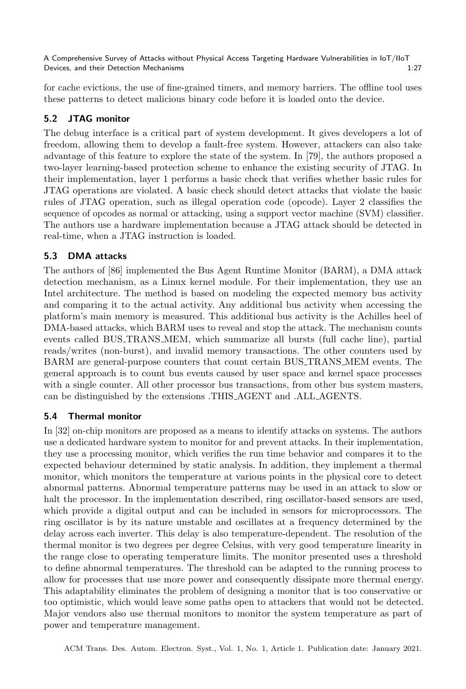for cache evictions, the use of fine-grained timers, and memory barriers. The offline tool uses these patterns to detect malicious binary code before it is loaded onto the device.

## 5.2 JTAG monitor

The debug interface is a critical part of system development. It gives developers a lot of freedom, allowing them to develop a fault-free system. However, attackers can also take advantage of this feature to explore the state of the system. In [79], the authors proposed a two-layer learning-based protection scheme to enhance the existing security of JTAG. In their implementation, layer 1 performs a basic check that verifies whether basic rules for JTAG operations are violated. A basic check should detect attacks that violate the basic rules of JTAG operation, such as illegal operation code (opcode). Layer 2 classifies the sequence of opcodes as normal or attacking, using a support vector machine (SVM) classifier. The authors use a hardware implementation because a JTAG attack should be detected in real-time, when a JTAG instruction is loaded.

## 5.3 DMA attacks

The authors of [86] implemented the Bus Agent Runtime Monitor (BARM), a DMA attack detection mechanism, as a Linux kernel module. For their implementation, they use an Intel architecture. The method is based on modeling the expected memory bus activity and comparing it to the actual activity. Any additional bus activity when accessing the platform's main memory is measured. This additional bus activity is the Achilles heel of DMA-based attacks, which BARM uses to reveal and stop the attack. The mechanism counts events called BUS TRANS MEM, which summarize all bursts (full cache line), partial reads/writes (non-burst), and invalid memory transactions. The other counters used by BARM are general-purpose counters that count certain BUS TRANS MEM events. The general approach is to count bus events caused by user space and kernel space processes with a single counter. All other processor bus transactions, from other bus system masters, can be distinguished by the extensions .THIS AGENT and .ALL AGENTS.

## 5.4 Thermal monitor

In [32] on-chip monitors are proposed as a means to identify attacks on systems. The authors use a dedicated hardware system to monitor for and prevent attacks. In their implementation, they use a processing monitor, which verifies the run time behavior and compares it to the expected behaviour determined by static analysis. In addition, they implement a thermal monitor, which monitors the temperature at various points in the physical core to detect abnormal patterns. Abnormal temperature patterns may be used in an attack to slow or halt the processor. In the implementation described, ring oscillator-based sensors are used, which provide a digital output and can be included in sensors for microprocessors. The ring oscillator is by its nature unstable and oscillates at a frequency determined by the delay across each inverter. This delay is also temperature-dependent. The resolution of the thermal monitor is two degrees per degree Celsius, with very good temperature linearity in the range close to operating temperature limits. The monitor presented uses a threshold to define abnormal temperatures. The threshold can be adapted to the running process to allow for processes that use more power and consequently dissipate more thermal energy. This adaptability eliminates the problem of designing a monitor that is too conservative or too optimistic, which would leave some paths open to attackers that would not be detected. Major vendors also use thermal monitors to monitor the system temperature as part of power and temperature management.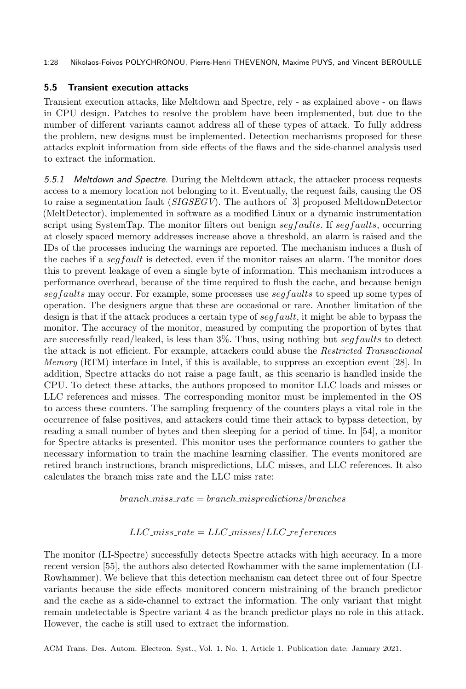1:28 Nikolaos-Foivos POLYCHRONOU, Pierre-Henri THEVENON, Maxime PUYS, and Vincent BEROULLE

## 5.5 Transient execution attacks

Transient execution attacks, like Meltdown and Spectre, rely - as explained above - on flaws in CPU design. Patches to resolve the problem have been implemented, but due to the number of different variants cannot address all of these types of attack. To fully address the problem, new designs must be implemented. Detection mechanisms proposed for these attacks exploit information from side effects of the flaws and the side-channel analysis used to extract the information.

5.5.1 Meltdown and Spectre. During the Meltdown attack, the attacker process requests access to a memory location not belonging to it. Eventually, the request fails, causing the OS to raise a segmentation fault  $(SIGSEGV)$ . The authors of [3] proposed MeltdownDetector (MeltDetector), implemented in software as a modified Linux or a dynamic instrumentation script using SystemTap. The monitor filters out benign  $\frac{seq faults}{}$ . If  $\frac{seg faults}{}$ , occurring at closely spaced memory addresses increase above a threshold, an alarm is raised and the IDs of the processes inducing the warnings are reported. The mechanism induces a flush of the caches if a  $\frac{seffault}{$  is detected, even if the monitor raises an alarm. The monitor does this to prevent leakage of even a single byte of information. This mechanism introduces a performance overhead, because of the time required to flush the cache, and because benign  $seg faults$  may occur. For example, some processes use  $seg faults$  to speed up some types of operation. The designers argue that these are occasional or rare. Another limitation of the design is that if the attack produces a certain type of  $\frac{seq fault}{\text{left}}$ , it might be able to bypass the monitor. The accuracy of the monitor, measured by computing the proportion of bytes that are successfully read/leaked, is less than  $3\%$ . Thus, using nothing but seq faults to detect the attack is not efficient. For example, attackers could abuse the Restricted Transactional Memory (RTM) interface in Intel, if this is available, to suppress an exception event [28]. In addition, Spectre attacks do not raise a page fault, as this scenario is handled inside the CPU. To detect these attacks, the authors proposed to monitor LLC loads and misses or LLC references and misses. The corresponding monitor must be implemented in the OS to access these counters. The sampling frequency of the counters plays a vital role in the occurrence of false positives, and attackers could time their attack to bypass detection, by reading a small number of bytes and then sleeping for a period of time. In [54], a monitor for Spectre attacks is presented. This monitor uses the performance counters to gather the necessary information to train the machine learning classifier. The events monitored are retired branch instructions, branch mispredictions, LLC misses, and LLC references. It also calculates the branch miss rate and the LLC miss rate:

 $branch\_miss\_rate = branch\_mispredictions/branches$ 

## $LLC\_miss\_rate = LLC\_misses / LLC\_references$

The monitor (LI-Spectre) successfully detects Spectre attacks with high accuracy. In a more recent version [55], the authors also detected Rowhammer with the same implementation (LI-Rowhammer). We believe that this detection mechanism can detect three out of four Spectre variants because the side effects monitored concern mistraining of the branch predictor and the cache as a side-channel to extract the information. The only variant that might remain undetectable is Spectre variant 4 as the branch predictor plays no role in this attack. However, the cache is still used to extract the information.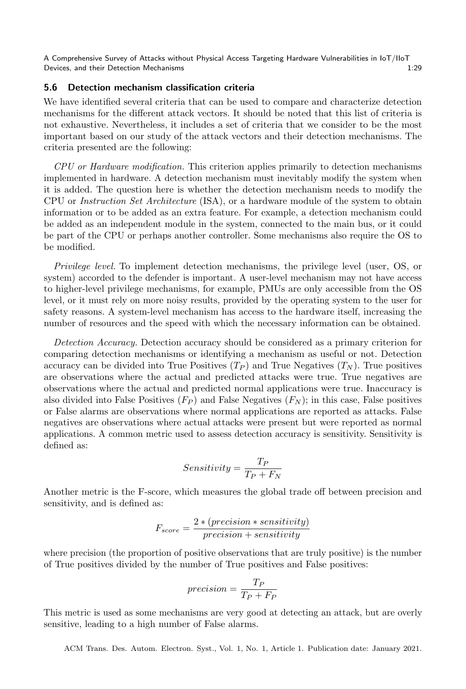## 5.6 Detection mechanism classification criteria

We have identified several criteria that can be used to compare and characterize detection mechanisms for the different attack vectors. It should be noted that this list of criteria is not exhaustive. Nevertheless, it includes a set of criteria that we consider to be the most important based on our study of the attack vectors and their detection mechanisms. The criteria presented are the following:

CPU or Hardware modification. This criterion applies primarily to detection mechanisms implemented in hardware. A detection mechanism must inevitably modify the system when it is added. The question here is whether the detection mechanism needs to modify the CPU or Instruction Set Architecture (ISA), or a hardware module of the system to obtain information or to be added as an extra feature. For example, a detection mechanism could be added as an independent module in the system, connected to the main bus, or it could be part of the CPU or perhaps another controller. Some mechanisms also require the OS to be modified.

Privilege level. To implement detection mechanisms, the privilege level (user, OS, or system) accorded to the defender is important. A user-level mechanism may not have access to higher-level privilege mechanisms, for example, PMUs are only accessible from the OS level, or it must rely on more noisy results, provided by the operating system to the user for safety reasons. A system-level mechanism has access to the hardware itself, increasing the number of resources and the speed with which the necessary information can be obtained.

Detection Accuracy. Detection accuracy should be considered as a primary criterion for comparing detection mechanisms or identifying a mechanism as useful or not. Detection accuracy can be divided into True Positives  $(T_P)$  and True Negatives  $(T_N)$ . True positives are observations where the actual and predicted attacks were true. True negatives are observations where the actual and predicted normal applications were true. Inaccuracy is also divided into False Positives  $(F_P)$  and False Negatives  $(F_N)$ ; in this case, False positives or False alarms are observations where normal applications are reported as attacks. False negatives are observations where actual attacks were present but were reported as normal applications. A common metric used to assess detection accuracy is sensitivity. Sensitivity is defined as:

$$
Sensitivity = \frac{T_P}{T_P + F_N}
$$

Another metric is the F-score, which measures the global trade off between precision and sensitivity, and is defined as:

$$
F_{score} = \frac{2 * (precision * sensitivity)}{precision + sensitivity}
$$

where precision (the proportion of positive observations that are truly positive) is the number of True positives divided by the number of True positives and False positives:

$$
precision = \frac{T_P}{T_P + F_P}
$$

This metric is used as some mechanisms are very good at detecting an attack, but are overly sensitive, leading to a high number of False alarms.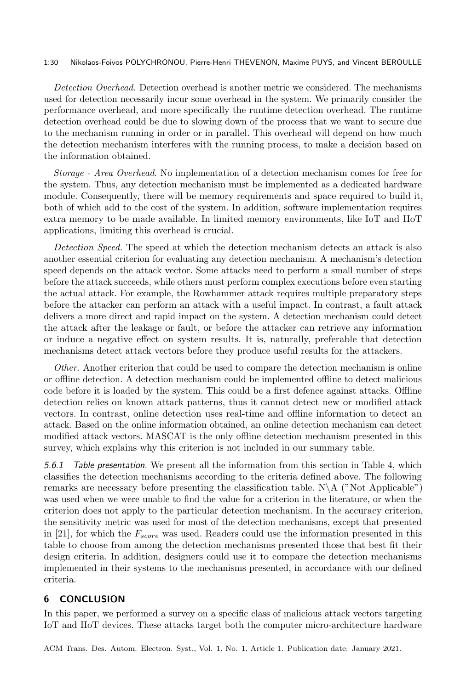#### 1:30 Nikolaos-Foivos POLYCHRONOU, Pierre-Henri THEVENON, Maxime PUYS, and Vincent BEROULLE

Detection Overhead. Detection overhead is another metric we considered. The mechanisms used for detection necessarily incur some overhead in the system. We primarily consider the performance overhead, and more specifically the runtime detection overhead. The runtime detection overhead could be due to slowing down of the process that we want to secure due to the mechanism running in order or in parallel. This overhead will depend on how much the detection mechanism interferes with the running process, to make a decision based on the information obtained.

Storage - Area Overhead. No implementation of a detection mechanism comes for free for the system. Thus, any detection mechanism must be implemented as a dedicated hardware module. Consequently, there will be memory requirements and space required to build it, both of which add to the cost of the system. In addition, software implementation requires extra memory to be made available. In limited memory environments, like IoT and IIoT applications, limiting this overhead is crucial.

Detection Speed. The speed at which the detection mechanism detects an attack is also another essential criterion for evaluating any detection mechanism. A mechanism's detection speed depends on the attack vector. Some attacks need to perform a small number of steps before the attack succeeds, while others must perform complex executions before even starting the actual attack. For example, the Rowhammer attack requires multiple preparatory steps before the attacker can perform an attack with a useful impact. In contrast, a fault attack delivers a more direct and rapid impact on the system. A detection mechanism could detect the attack after the leakage or fault, or before the attacker can retrieve any information or induce a negative effect on system results. It is, naturally, preferable that detection mechanisms detect attack vectors before they produce useful results for the attackers.

Other. Another criterion that could be used to compare the detection mechanism is online or offline detection. A detection mechanism could be implemented offline to detect malicious code before it is loaded by the system. This could be a first defence against attacks. Offline detection relies on known attack patterns, thus it cannot detect new or modified attack vectors. In contrast, online detection uses real-time and offline information to detect an attack. Based on the online information obtained, an online detection mechanism can detect modified attack vectors. MASCAT is the only offline detection mechanism presented in this survey, which explains why this criterion is not included in our summary table.

5.6.1 Table presentation. We present all the information from this section in Table 4, which classifies the detection mechanisms according to the criteria defined above. The following remarks are necessary before presenting the classification table. N∖A ("Not Applicable") was used when we were unable to find the value for a criterion in the literature, or when the criterion does not apply to the particular detection mechanism. In the accuracy criterion, the sensitivity metric was used for most of the detection mechanisms, except that presented in [21], for which the  $F_{score}$  was used. Readers could use the information presented in this table to choose from among the detection mechanisms presented those that best fit their design criteria. In addition, designers could use it to compare the detection mechanisms implemented in their systems to the mechanisms presented, in accordance with our defined criteria.

## 6 CONCLUSION

In this paper, we performed a survey on a specific class of malicious attack vectors targeting IoT and IIoT devices. These attacks target both the computer micro-architecture hardware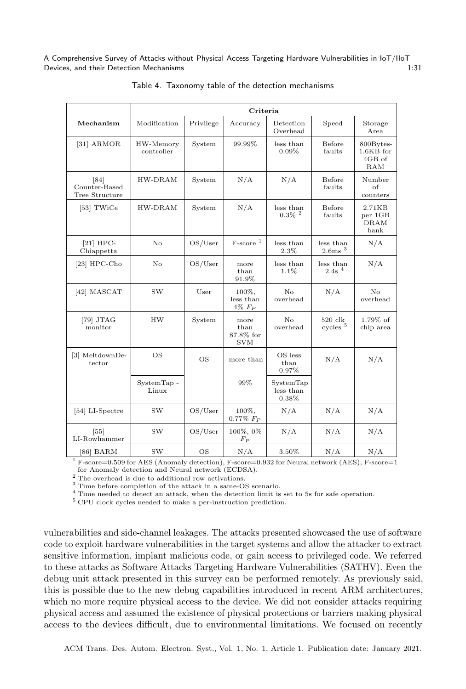|                                         | Criteria                |           |                                         |                                      |                                |                                           |  |  |
|-----------------------------------------|-------------------------|-----------|-----------------------------------------|--------------------------------------|--------------------------------|-------------------------------------------|--|--|
| Mechanism                               | Modification            | Privilege | Accuracy                                | Detection<br>Overhead                | Speed                          | Storage<br>Area                           |  |  |
| $[31]$ ARMOR                            | HW-Memory<br>controller | System    | 99.99%                                  | less than<br>0.09%                   | Before<br>faults               | 800Bytes-<br>$1.6KB$ for<br>4GB of<br>RAM |  |  |
| [84]<br>Counter-Based<br>Tree Structure | HW-DRAM                 | System    | N/A                                     | N/A                                  | Before<br>faults               | Number<br>$\alpha$ f<br>counters          |  |  |
| [53] TWiCe                              | HW-DRAM                 | System    | N/A                                     | less than<br>$0.3\%$ <sup>2</sup>    | Before<br>faults               | 2.71KB<br>per 1GB<br><b>DRAM</b><br>bank  |  |  |
| $[21]$ HPC-<br>Chiappetta               | $\rm No$                | OS/User   | $F-score^{-1}$                          | less than<br>2.3%                    | less than<br>$2.6$ ms $3$      | N/A                                       |  |  |
| $[23]$ HPC-Cho                          | No                      | OS/User   | more<br>than<br>91.9%                   | less than<br>1.1%                    | less than<br>2.4s <sup>4</sup> | N/A                                       |  |  |
| [42] MASCAT                             | SW                      | User      | 100%,<br>less than<br>$4\%$ $F_P$       | No<br>overhead                       | N/A                            | No<br>overhead                            |  |  |
| $[79]$ JTAG<br>monitor                  | <b>HW</b>               | System    | more<br>than<br>87.8% for<br><b>SVM</b> | No<br>overhead                       | 520 clk<br>cycles <sup>5</sup> | 1.79% of<br>chip area                     |  |  |
| [3] MeltdownDe-<br>tector               | <b>OS</b>               | <b>OS</b> | more than                               | OS less<br>$_{\text{than}}$<br>0.97% | N/A                            | N/A                                       |  |  |
|                                         | SystemTap -<br>Linux    |           | 99%                                     | SystemTap<br>less than<br>$0.38\%$   |                                |                                           |  |  |
| [54] LI-Spectre                         | <b>SW</b>               | OS/User   | 100%,<br>$0.77\%$ $F_P$                 | N/A                                  | N/A                            | N/A                                       |  |  |
| $[55]$<br>LI-Rowhammer                  | SW                      | OS/User   | 100%, 0%<br>$F_P$                       | N/A                                  | N/A                            | N/A                                       |  |  |
| [86] BARM                               | <b>SW</b>               | <b>OS</b> | N/A                                     | 3.50%                                | N/A                            | N/A                                       |  |  |

Table 4. Taxonomy table of the detection mechanisms

<sup>1</sup> F-score=0.509 for AES (Anomaly detection), F-score=0.932 for Neural network (AES), F-score=1 for Anomaly detection and Neural network (ECDSA).

<sup>2</sup> The overhead is due to additional row activations.

<sup>3</sup> Time before completion of the attack in a same-OS scenario.

<sup>4</sup> Time needed to detect an attack, when the detection limit is set to 5s for safe operation.

 $^5$  CPU clock cycles needed to make a per-instruction prediction.

vulnerabilities and side-channel leakages. The attacks presented showcased the use of software code to exploit hardware vulnerabilities in the target systems and allow the attacker to extract sensitive information, implant malicious code, or gain access to privileged code. We referred to these attacks as Software Attacks Targeting Hardware Vulnerabilities (SATHV). Even the debug unit attack presented in this survey can be performed remotely. As previously said, this is possible due to the new debug capabilities introduced in recent ARM architectures, which no more require physical access to the device. We did not consider attacks requiring physical access and assumed the existence of physical protections or barriers making physical access to the devices difficult, due to environmental limitations. We focused on recently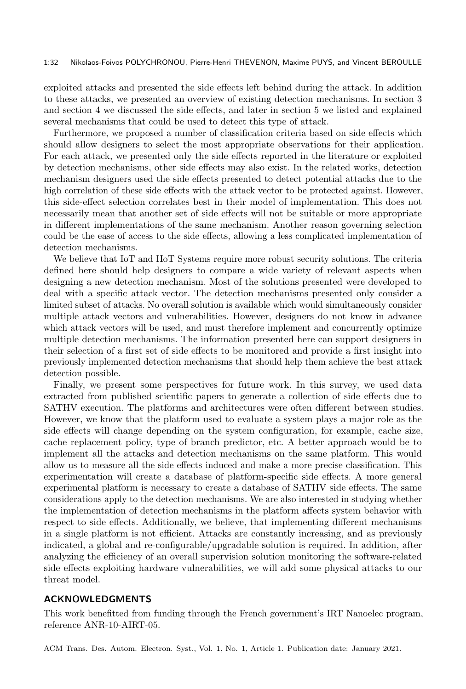#### 1:32 Nikolaos-Foivos POLYCHRONOU, Pierre-Henri THEVENON, Maxime PUYS, and Vincent BEROULLE

exploited attacks and presented the side effects left behind during the attack. In addition to these attacks, we presented an overview of existing detection mechanisms. In section 3 and section 4 we discussed the side effects, and later in section 5 we listed and explained several mechanisms that could be used to detect this type of attack.

Furthermore, we proposed a number of classification criteria based on side effects which should allow designers to select the most appropriate observations for their application. For each attack, we presented only the side effects reported in the literature or exploited by detection mechanisms, other side effects may also exist. In the related works, detection mechanism designers used the side effects presented to detect potential attacks due to the high correlation of these side effects with the attack vector to be protected against. However, this side-effect selection correlates best in their model of implementation. This does not necessarily mean that another set of side effects will not be suitable or more appropriate in different implementations of the same mechanism. Another reason governing selection could be the ease of access to the side effects, allowing a less complicated implementation of detection mechanisms.

We believe that IoT and IIoT Systems require more robust security solutions. The criteria defined here should help designers to compare a wide variety of relevant aspects when designing a new detection mechanism. Most of the solutions presented were developed to deal with a specific attack vector. The detection mechanisms presented only consider a limited subset of attacks. No overall solution is available which would simultaneously consider multiple attack vectors and vulnerabilities. However, designers do not know in advance which attack vectors will be used, and must therefore implement and concurrently optimize multiple detection mechanisms. The information presented here can support designers in their selection of a first set of side effects to be monitored and provide a first insight into previously implemented detection mechanisms that should help them achieve the best attack detection possible.

Finally, we present some perspectives for future work. In this survey, we used data extracted from published scientific papers to generate a collection of side effects due to SATHV execution. The platforms and architectures were often different between studies. However, we know that the platform used to evaluate a system plays a major role as the side effects will change depending on the system configuration, for example, cache size, cache replacement policy, type of branch predictor, etc. A better approach would be to implement all the attacks and detection mechanisms on the same platform. This would allow us to measure all the side effects induced and make a more precise classification. This experimentation will create a database of platform-specific side effects. A more general experimental platform is necessary to create a database of SATHV side effects. The same considerations apply to the detection mechanisms. We are also interested in studying whether the implementation of detection mechanisms in the platform affects system behavior with respect to side effects. Additionally, we believe, that implementing different mechanisms in a single platform is not efficient. Attacks are constantly increasing, and as previously indicated, a global and re-configurable/upgradable solution is required. In addition, after analyzing the efficiency of an overall supervision solution monitoring the software-related side effects exploiting hardware vulnerabilities, we will add some physical attacks to our threat model.

## ACKNOWLEDGMENTS

This work benefitted from funding through the French government's IRT Nanoelec program, reference ANR-10-AIRT-05.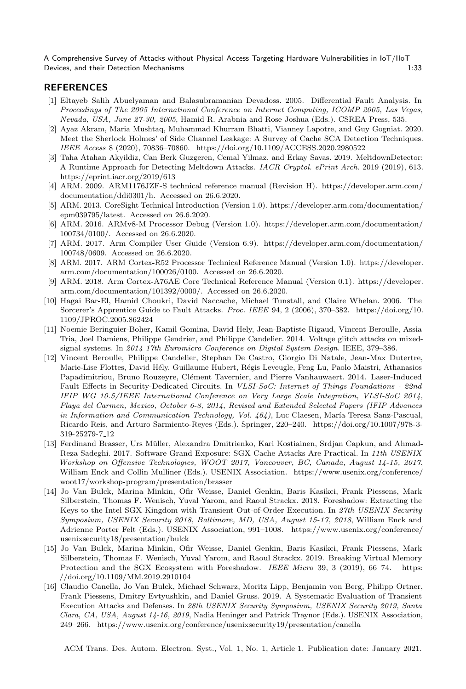## **REFERENCES**

- [1] Eltayeb Salih Abuelyaman and Balasubramanian Devadoss. 2005. Differential Fault Analysis. In Proceedings of The 2005 International Conference on Internet Computing, ICOMP 2005, Las Vegas, Nevada, USA, June 27-30, 2005, Hamid R. Arabnia and Rose Joshua (Eds.). CSREA Press, 535.
- [2] Ayaz Akram, Maria Mushtaq, Muhammad Khurram Bhatti, Vianney Lapotre, and Guy Gogniat. 2020. Meet the Sherlock Holmes' of Side Channel Leakage: A Survey of Cache SCA Detection Techniques. IEEE Access 8 (2020), 70836–70860.<https://doi.org/10.1109/ACCESS.2020.2980522>
- [3] Taha Atahan Akyildiz, Can Berk Guzgeren, Cemal Yilmaz, and Erkay Savas. 2019. MeltdownDetector: A Runtime Approach for Detecting Meltdown Attacks. IACR Cryptol. ePrint Arch. 2019 (2019), 613. <https://eprint.iacr.org/2019/613>
- [4] ARM. 2009. ARM1176JZF-S technical reference manual (Revision H). [https://developer.arm.com/](https://developer.arm.com/documentation/ddi0301/h) [documentation/ddi0301/h.](https://developer.arm.com/documentation/ddi0301/h) Accessed on 26.6.2020.
- [5] ARM. 2013. CoreSight Technical Introduction (Version 1.0). [https://developer.arm.com/documentation/](https://developer.arm.com/documentation/epm039795/latest) [epm039795/latest.](https://developer.arm.com/documentation/epm039795/latest) Accessed on 26.6.2020.
- [6] ARM. 2016. ARMv8-M Processor Debug (Version 1.0). [https://developer.arm.com/documentation/](https://developer.arm.com/documentation/100734/0100/) [100734/0100/.](https://developer.arm.com/documentation/100734/0100/) Accessed on 26.6.2020.
- [7] ARM. 2017. Arm Compiler User Guide (Version 6.9). [https://developer.arm.com/documentation/](https://developer.arm.com/documentation/100748/0609) [100748/0609.](https://developer.arm.com/documentation/100748/0609) Accessed on 26.6.2020.
- [8] ARM. 2017. ARM Cortex-R52 Processor Technical Reference Manual (Version 1.0). [https://developer.](https://developer.arm.com/documentation/100026/0100) [arm.com/documentation/100026/0100.](https://developer.arm.com/documentation/100026/0100) Accessed on 26.6.2020.
- [9] ARM. 2018. Arm Cortex-A76AE Core Technical Reference Manual (Version 0.1). [https://developer.](https://developer.arm.com/documentation/101392/0000/) [arm.com/documentation/101392/0000/.](https://developer.arm.com/documentation/101392/0000/) Accessed on 26.6.2020.
- [10] Hagai Bar-El, Hamid Choukri, David Naccache, Michael Tunstall, and Claire Whelan. 2006. The Sorcerer's Apprentice Guide to Fault Attacks. Proc. IEEE 94, 2 (2006), 370–382. [https://doi.org/10.](https://doi.org/10.1109/JPROC.2005.862424) [1109/JPROC.2005.862424](https://doi.org/10.1109/JPROC.2005.862424)
- [11] Noemie Beringuier-Boher, Kamil Gomina, David Hely, Jean-Baptiste Rigaud, Vincent Beroulle, Assia Tria, Joel Damiens, Philippe Gendrier, and Philippe Candelier. 2014. Voltage glitch attacks on mixedsignal systems. In 2014 17th Euromicro Conference on Digital System Design. IEEE, 379–386.
- [12] Vincent Beroulle, Philippe Candelier, Stephan De Castro, Giorgio Di Natale, Jean-Max Dutertre, Marie-Lise Flottes, David Hély, Guillaume Hubert, Régis Leveugle, Feng Lu, Paolo Maistri, Athanasios Papadimitriou, Bruno Rouzeyre, Clément Tavernier, and Pierre Vanhauwaert. 2014. Laser-Induced Fault Effects in Security-Dedicated Circuits. In VLSI-SoC: Internet of Things Foundations - 22nd IFIP WG 10.5/IEEE International Conference on Very Large Scale Integration, VLSI-SoC 2014, Playa del Carmen, Mexico, October 6-8, 2014, Revised and Extended Selected Papers (IFIP Advances in Information and Communication Technology, Vol.  $464$ ), Luc Claesen, María Teresa Sanz-Pascual, Ricardo Reis, and Arturo Sarmiento-Reyes (Eds.). Springer, 220–240. [https://doi.org/10.1007/978-3-](https://doi.org/10.1007/978-3-319-25279-7_12) [319-25279-7](https://doi.org/10.1007/978-3-319-25279-7_12) 12
- [13] Ferdinand Brasser, Urs M¨uller, Alexandra Dmitrienko, Kari Kostiainen, Srdjan Capkun, and Ahmad-Reza Sadeghi. 2017. Software Grand Exposure: SGX Cache Attacks Are Practical. In 11th USENIX Workshop on Offensive Technologies, WOOT 2017, Vancouver, BC, Canada, August 14-15, 2017, William Enck and Collin Mulliner (Eds.). USENIX Association. [https://www.usenix.org/conference/](https://www.usenix.org/conference/woot17/workshop-program/presentation/brasser) [woot17/workshop-program/presentation/brasser](https://www.usenix.org/conference/woot17/workshop-program/presentation/brasser)
- [14] Jo Van Bulck, Marina Minkin, Ofir Weisse, Daniel Genkin, Baris Kasikci, Frank Piessens, Mark Silberstein, Thomas F. Wenisch, Yuval Yarom, and Raoul Strackx. 2018. Foreshadow: Extracting the Keys to the Intel SGX Kingdom with Transient Out-of-Order Execution. In 27th USENIX Security Symposium, USENIX Security 2018, Baltimore, MD, USA, August 15-17, 2018, William Enck and Adrienne Porter Felt (Eds.). USENIX Association, 991–1008. [https://www.usenix.org/conference/](https://www.usenix.org/conference/usenixsecurity18/presentation/bulck) [usenixsecurity18/presentation/bulck](https://www.usenix.org/conference/usenixsecurity18/presentation/bulck)
- [15] Jo Van Bulck, Marina Minkin, Ofir Weisse, Daniel Genkin, Baris Kasikci, Frank Piessens, Mark Silberstein, Thomas F. Wenisch, Yuval Yarom, and Raoul Strackx. 2019. Breaking Virtual Memory Protection and the SGX Ecosystem with Foreshadow. IEEE Micro 39, 3 (2019), 66-74. [https:](https://doi.org/10.1109/MM.2019.2910104) [//doi.org/10.1109/MM.2019.2910104](https://doi.org/10.1109/MM.2019.2910104)
- [16] Claudio Canella, Jo Van Bulck, Michael Schwarz, Moritz Lipp, Benjamin von Berg, Philipp Ortner, Frank Piessens, Dmitry Evtyushkin, and Daniel Gruss. 2019. A Systematic Evaluation of Transient Execution Attacks and Defenses. In 28th USENIX Security Symposium, USENIX Security 2019, Santa Clara, CA, USA, August 14-16, 2019, Nadia Heninger and Patrick Traynor (Eds.). USENIX Association, 249–266.<https://www.usenix.org/conference/usenixsecurity19/presentation/canella>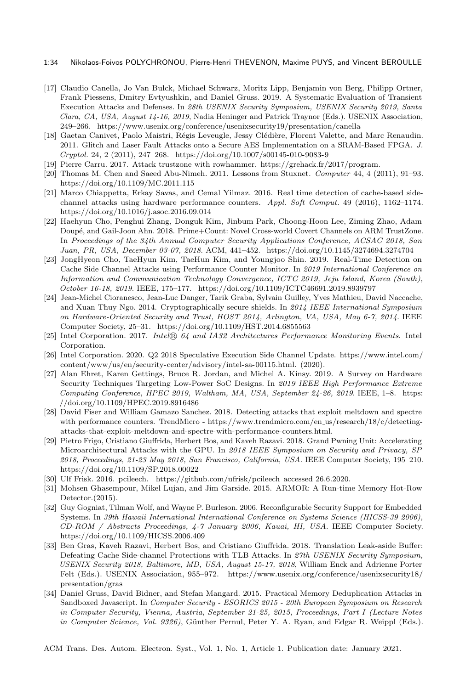#### 1:34 Nikolaos-Foivos POLYCHRONOU, Pierre-Henri THEVENON, Maxime PUYS, and Vincent BEROULLE

- [17] Claudio Canella, Jo Van Bulck, Michael Schwarz, Moritz Lipp, Benjamin von Berg, Philipp Ortner, Frank Piessens, Dmitry Evtyushkin, and Daniel Gruss. 2019. A Systematic Evaluation of Transient Execution Attacks and Defenses. In 28th USENIX Security Symposium, USENIX Security 2019, Santa Clara, CA, USA, August 14-16, 2019, Nadia Heninger and Patrick Traynor (Eds.). USENIX Association, 249–266.<https://www.usenix.org/conference/usenixsecurity19/presentation/canella>
- [18] Gaetan Canivet, Paolo Maistri, Régis Leveugle, Jessy Clédière, Florent Valette, and Marc Renaudin. 2011. Glitch and Laser Fault Attacks onto a Secure AES Implementation on a SRAM-Based FPGA. J. Cryptol. 24, 2 (2011), 247–268.<https://doi.org/10.1007/s00145-010-9083-9>
- [19] Pierre Carru. 2017. Attack trustzone with rowhammer. [https://grehack.fr/2017/program.](https://grehack.fr/2017/program)
- [20] Thomas M. Chen and Saeed Abu-Nimeh. 2011. Lessons from Stuxnet. Computer 44, 4 (2011), 91–93. <https://doi.org/10.1109/MC.2011.115>
- [21] Marco Chiappetta, Erkay Savas, and Cemal Yilmaz. 2016. Real time detection of cache-based sidechannel attacks using hardware performance counters. Appl. Soft Comput. 49 (2016), 1162–1174. <https://doi.org/10.1016/j.asoc.2016.09.014>
- [22] Haehyun Cho, Penghui Zhang, Donguk Kim, Jinbum Park, Choong-Hoon Lee, Ziming Zhao, Adam Doup´e, and Gail-Joon Ahn. 2018. Prime+Count: Novel Cross-world Covert Channels on ARM TrustZone. In Proceedings of the 34th Annual Computer Security Applications Conference, ACSAC 2018, San Juan, PR, USA, December 03-07, 2018. ACM, 441–452.<https://doi.org/10.1145/3274694.3274704>
- [23] JongHyeon Cho, TaeHyun Kim, TaeHun Kim, and Youngjoo Shin. 2019. Real-Time Detection on Cache Side Channel Attacks using Performance Counter Monitor. In 2019 International Conference on Information and Communication Technology Convergence, ICTC 2019, Jeju Island, Korea (South), October 16-18, 2019. IEEE, 175–177.<https://doi.org/10.1109/ICTC46691.2019.8939797>
- [24] Jean-Michel Cioranesco, Jean-Luc Danger, Tarik Graba, Sylvain Guilley, Yves Mathieu, David Naccache, and Xuan Thuy Ngo. 2014. Cryptographically secure shields. In 2014 IEEE International Symposium on Hardware-Oriented Security and Trust, HOST 2014, Arlington, VA, USA, May 6-7, 2014. IEEE Computer Society, 25–31.<https://doi.org/10.1109/HST.2014.6855563>
- [25] Intel Corporation. 2017. Intel® 64 and IA32 Architectures Performance Monitoring Events. Intel Corporation.
- [26] Intel Corporation. 2020. Q2 2018 Speculative Execution Side Channel Update. [https://www.intel.com/](https://www.intel.com/content/www/us/en/security-center/advisory/intel-sa-00115.html) [content/www/us/en/security-center/advisory/intel-sa-00115.html.](https://www.intel.com/content/www/us/en/security-center/advisory/intel-sa-00115.html) (2020).
- [27] Alan Ehret, Karen Gettings, Bruce R. Jordan, and Michel A. Kinsy. 2019. A Survey on Hardware Security Techniques Targeting Low-Power SoC Designs. In 2019 IEEE High Performance Extreme Computing Conference, HPEC 2019, Waltham, MA, USA, September 24-26, 2019. IEEE, 1–8. [https:](https://doi.org/10.1109/HPEC.2019.8916486) [//doi.org/10.1109/HPEC.2019.8916486](https://doi.org/10.1109/HPEC.2019.8916486)
- [28] David Fiser and William Gamazo Sanchez. 2018. Detecting attacks that exploit meltdown and spectre with performance counters. TrendMicro - [https://www.trendmicro.com/en](https://www.trendmicro.com/en_us/research/18/c/detecting-attacks-that-exploit-meltdown-and-spectre-with-performance-counters.html) us/research/18/c/detecting[attacks-that-exploit-meltdown-and-spectre-with-performance-counters.html.](https://www.trendmicro.com/en_us/research/18/c/detecting-attacks-that-exploit-meltdown-and-spectre-with-performance-counters.html)
- [29] Pietro Frigo, Cristiano Giuffrida, Herbert Bos, and Kaveh Razavi. 2018. Grand Pwning Unit: Accelerating Microarchitectural Attacks with the GPU. In 2018 IEEE Symposium on Security and Privacy, SP 2018, Proceedings, 21-23 May 2018, San Francisco, California, USA. IEEE Computer Society, 195–210. <https://doi.org/10.1109/SP.2018.00022>
- [30] Ulf Frisk. 2016. pcileech.<https://github.com/ufrisk/pcileech> accessed 26.6.2020.
- [31] Mohsen Ghasempour, Mikel Lujan, and Jim Garside. 2015. ARMOR: A Run-time Memory Hot-Row Detector.(2015).
- [32] Guy Gogniat, Tilman Wolf, and Wayne P. Burleson. 2006. Reconfigurable Security Support for Embedded Systems. In 39th Hawaii International International Conference on Systems Science (HICSS-39 2006), CD-ROM / Abstracts Proceedings, 4-7 January 2006, Kauai, HI, USA. IEEE Computer Society. <https://doi.org/10.1109/HICSS.2006.409>
- [33] Ben Gras, Kaveh Razavi, Herbert Bos, and Cristiano Giuffrida. 2018. Translation Leak-aside Buffer: Defeating Cache Side-channel Protections with TLB Attacks. In 27th USENIX Security Symposium, USENIX Security 2018, Baltimore, MD, USA, August 15-17, 2018, William Enck and Adrienne Porter Felt (Eds.). USENIX Association, 955–972. [https://www.usenix.org/conference/usenixsecurity18/](https://www.usenix.org/conference/usenixsecurity18/presentation/gras) [presentation/gras](https://www.usenix.org/conference/usenixsecurity18/presentation/gras)
- [34] Daniel Gruss, David Bidner, and Stefan Mangard. 2015. Practical Memory Deduplication Attacks in Sandboxed Javascript. In Computer Security - ESORICS 2015 - 20th European Symposium on Research in Computer Security, Vienna, Austria, September 21-25, 2015, Proceedings, Part I (Lecture Notes in Computer Science, Vol. 9326), Günther Pernul, Peter Y. A. Ryan, and Edgar R. Weippl (Eds.).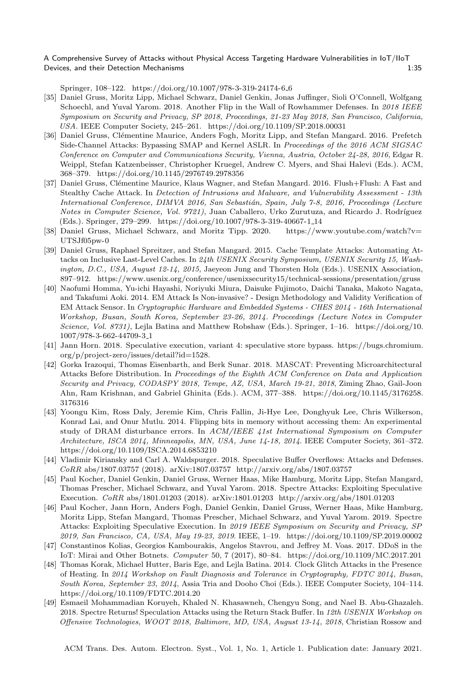Springer, 108–122. [https://doi.org/10.1007/978-3-319-24174-6](https://doi.org/10.1007/978-3-319-24174-6_6) 6

- [35] Daniel Gruss, Moritz Lipp, Michael Schwarz, Daniel Genkin, Jonas Juffinger, Sioli O'Connell, Wolfgang Schoechl, and Yuval Yarom. 2018. Another Flip in the Wall of Rowhammer Defenses. In 2018 IEEE Symposium on Security and Privacy, SP 2018, Proceedings, 21-23 May 2018, San Francisco, California, USA. IEEE Computer Society, 245–261.<https://doi.org/10.1109/SP.2018.00031>
- [36] Daniel Gruss, Clémentine Maurice, Anders Fogh, Moritz Lipp, and Stefan Mangard. 2016. Prefetch Side-Channel Attacks: Bypassing SMAP and Kernel ASLR. In Proceedings of the 2016 ACM SIGSAC Conference on Computer and Communications Security, Vienna, Austria, October 24-28, 2016, Edgar R. Weippl, Stefan Katzenbeisser, Christopher Kruegel, Andrew C. Myers, and Shai Halevi (Eds.). ACM, 368–379.<https://doi.org/10.1145/2976749.2978356>
- [37] Daniel Gruss, Clémentine Maurice, Klaus Wagner, and Stefan Mangard. 2016. Flush+Flush: A Fast and Stealthy Cache Attack. In Detection of Intrusions and Malware, and Vulnerability Assessment - 13th International Conference, DIMVA 2016, San Sebastián, Spain, July 7-8, 2016, Proceedings (Lecture Notes in Computer Science, Vol. 9721), Juan Caballero, Urko Zurutuza, and Ricardo J. Rodríguez (Eds.). Springer, 279–299. [https://doi.org/10.1007/978-3-319-40667-1](https://doi.org/10.1007/978-3-319-40667-1_14) 14
- [38] Daniel Gruss, Michael Schwarz, and Moritz Tipp. 2020. [https://www.youtube.com/watch?v=](https://www.youtube.com/watch?v=UTSJf05pw-0) [UTSJf05pw-0](https://www.youtube.com/watch?v=UTSJf05pw-0)
- [39] Daniel Gruss, Raphael Spreitzer, and Stefan Mangard. 2015. Cache Template Attacks: Automating Attacks on Inclusive Last-Level Caches. In 24th USENIX Security Symposium, USENIX Security 15, Washington, D.C., USA, August 12-14, 2015, Jaeyeon Jung and Thorsten Holz (Eds.). USENIX Association, 897–912.<https://www.usenix.org/conference/usenixsecurity15/technical-sessions/presentation/gruss>
- [40] Naofumi Homma, Yu-ichi Hayashi, Noriyuki Miura, Daisuke Fujimoto, Daichi Tanaka, Makoto Nagata, and Takafumi Aoki. 2014. EM Attack Is Non-invasive? - Design Methodology and Validity Verification of EM Attack Sensor. In Cryptographic Hardware and Embedded Systems - CHES 2014 - 16th International Workshop, Busan, South Korea, September 23-26, 2014. Proceedings (Lecture Notes in Computer Science, Vol. 8731), Lejla Batina and Matthew Robshaw (Eds.). Springer, 1–16. [https://doi.org/10.](https://doi.org/10.1007/978-3-662-44709-3_1) [1007/978-3-662-44709-3](https://doi.org/10.1007/978-3-662-44709-3_1) 1
- [41] Jann Horn. 2018. Speculative execution, variant 4: speculative store bypass. [https://bugs.chromium.](https://bugs.chromium.org/p/project-zero/issues/detail?id=1528) [org/p/project-zero/issues/detail?id=1528.](https://bugs.chromium.org/p/project-zero/issues/detail?id=1528)
- [42] Gorka Irazoqui, Thomas Eisenbarth, and Berk Sunar. 2018. MASCAT: Preventing Microarchitectural Attacks Before Distribution. In Proceedings of the Eighth ACM Conference on Data and Application Security and Privacy, CODASPY 2018, Tempe, AZ, USA, March 19-21, 2018, Ziming Zhao, Gail-Joon Ahn, Ram Krishnan, and Gabriel Ghinita (Eds.). ACM, 377–388. [https://doi.org/10.1145/3176258.](https://doi.org/10.1145/3176258.3176316) [3176316](https://doi.org/10.1145/3176258.3176316)
- [43] Yoongu Kim, Ross Daly, Jeremie Kim, Chris Fallin, Ji-Hye Lee, Donghyuk Lee, Chris Wilkerson, Konrad Lai, and Onur Mutlu. 2014. Flipping bits in memory without accessing them: An experimental study of DRAM disturbance errors. In ACM/IEEE 41st International Symposium on Computer Architecture, ISCA 2014, Minneapolis, MN, USA, June 14-18, 2014. IEEE Computer Society, 361–372. <https://doi.org/10.1109/ISCA.2014.6853210>
- [44] Vladimir Kiriansky and Carl A. Waldspurger. 2018. Speculative Buffer Overflows: Attacks and Defenses. CoRR abs/1807.03757 (2018). arXiv[:1807.03757](https://arxiv.org/abs/1807.03757)<http://arxiv.org/abs/1807.03757>
- [45] Paul Kocher, Daniel Genkin, Daniel Gruss, Werner Haas, Mike Hamburg, Moritz Lipp, Stefan Mangard, Thomas Prescher, Michael Schwarz, and Yuval Yarom. 2018. Spectre Attacks: Exploiting Speculative Execution. CoRR abs/1801.01203 (2018). arXiv[:1801.01203](https://arxiv.org/abs/1801.01203)<http://arxiv.org/abs/1801.01203>
- [46] Paul Kocher, Jann Horn, Anders Fogh, Daniel Genkin, Daniel Gruss, Werner Haas, Mike Hamburg, Moritz Lipp, Stefan Mangard, Thomas Prescher, Michael Schwarz, and Yuval Yarom. 2019. Spectre Attacks: Exploiting Speculative Execution. In 2019 IEEE Symposium on Security and Privacy, SP 2019, San Francisco, CA, USA, May 19-23, 2019. IEEE, 1–19.<https://doi.org/10.1109/SP.2019.00002>
- [47] Constantinos Kolias, Georgios Kambourakis, Angelos Stavrou, and Jeffrey M. Voas. 2017. DDoS in the IoT: Mirai and Other Botnets. Computer 50, 7 (2017), 80–84.<https://doi.org/10.1109/MC.2017.201>
- [48] Thomas Korak, Michael Hutter, Baris Ege, and Lejla Batina. 2014. Clock Glitch Attacks in the Presence of Heating. In 2014 Workshop on Fault Diagnosis and Tolerance in Cryptography, FDTC 2014, Busan, South Korea, September 23, 2014, Assia Tria and Dooho Choi (Eds.). IEEE Computer Society, 104–114. <https://doi.org/10.1109/FDTC.2014.20>
- [49] Esmaeil Mohammadian Koruyeh, Khaled N. Khasawneh, Chengyu Song, and Nael B. Abu-Ghazaleh. 2018. Spectre Returns! Speculation Attacks using the Return Stack Buffer. In 12th USENIX Workshop on Offensive Technologies, WOOT 2018, Baltimore, MD, USA, August 13-14, 2018, Christian Rossow and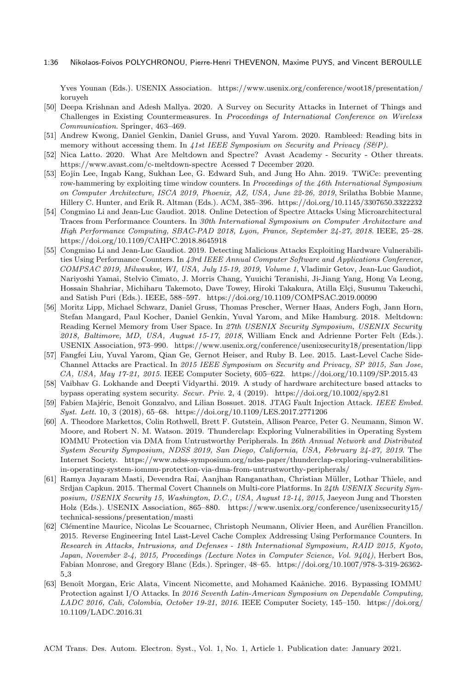#### 1:36 Nikolaos-Foivos POLYCHRONOU, Pierre-Henri THEVENON, Maxime PUYS, and Vincent BEROULLE

Yves Younan (Eds.). USENIX Association. [https://www.usenix.org/conference/woot18/presentation/](https://www.usenix.org/conference/woot18/presentation/koruyeh) [koruyeh](https://www.usenix.org/conference/woot18/presentation/koruyeh)

- [50] Deepa Krishnan and Adesh Mallya. 2020. A Survey on Security Attacks in Internet of Things and Challenges in Existing Countermeasures. In Proceedings of International Conference on Wireless Communication. Springer, 463–469.
- [51] Andrew Kwong, Daniel Genkin, Daniel Gruss, and Yuval Yarom. 2020. Rambleed: Reading bits in memory without accessing them. In 41st IEEE Symposium on Security and Privacy (S&P).
- [52] Nica Latto. 2020. What Are Meltdown and Spectre? Avast Academy Security Other threats. <https://www.avast.com/c-meltdown-spectre> Acessed 7 December 2020.
- [53] Eojin Lee, Ingab Kang, Sukhan Lee, G. Edward Suh, and Jung Ho Ahn. 2019. TWiCe: preventing row-hammering by exploiting time window counters. In Proceedings of the 46th International Symposium on Computer Architecture, ISCA 2019, Phoenix, AZ, USA, June 22-26, 2019, Srilatha Bobbie Manne, Hillery C. Hunter, and Erik R. Altman (Eds.). ACM, 385–396.<https://doi.org/10.1145/3307650.3322232>
- [54] Congmiao Li and Jean-Luc Gaudiot. 2018. Online Detection of Spectre Attacks Using Microarchitectural Traces from Performance Counters. In 30th International Symposium on Computer Architecture and High Performance Computing, SBAC-PAD 2018, Lyon, France, September 24-27, 2018. IEEE, 25–28. <https://doi.org/10.1109/CAHPC.2018.8645918>
- [55] Congmiao Li and Jean-Luc Gaudiot. 2019. Detecting Malicious Attacks Exploiting Hardware Vulnerabilities Using Performance Counters. In 43rd IEEE Annual Computer Software and Applications Conference, COMPSAC 2019, Milwaukee, WI, USA, July 15-19, 2019, Volume 1, Vladimir Getov, Jean-Luc Gaudiot, Nariyoshi Yamai, Stelvio Cimato, J. Morris Chang, Yuuichi Teranishi, Ji-Jiang Yang, Hong Va Leong, Hossain Shahriar, Michiharu Takemoto, Dave Towey, Hiroki Takakura, Atilla Elçi, Susumu Takeuchi, and Satish Puri (Eds.). IEEE, 588–597.<https://doi.org/10.1109/COMPSAC.2019.00090>
- [56] Moritz Lipp, Michael Schwarz, Daniel Gruss, Thomas Prescher, Werner Haas, Anders Fogh, Jann Horn, Stefan Mangard, Paul Kocher, Daniel Genkin, Yuval Yarom, and Mike Hamburg. 2018. Meltdown: Reading Kernel Memory from User Space. In 27th USENIX Security Symposium, USENIX Security 2018, Baltimore, MD, USA, August 15-17, 2018, William Enck and Adrienne Porter Felt (Eds.). USENIX Association, 973–990.<https://www.usenix.org/conference/usenixsecurity18/presentation/lipp>
- [57] Fangfei Liu, Yuval Yarom, Qian Ge, Gernot Heiser, and Ruby B. Lee. 2015. Last-Level Cache Side-Channel Attacks are Practical. In 2015 IEEE Symposium on Security and Privacy, SP 2015, San Jose, CA, USA, May 17-21, 2015. IEEE Computer Society, 605–622.<https://doi.org/10.1109/SP.2015.43>
- [58] Vaibhav G. Lokhande and Deepti Vidyarthi. 2019. A study of hardware architecture based attacks to bypass operating system security. Secur. Priv. 2, 4 (2019).<https://doi.org/10.1002/spy2.81>
- [59] Fabien Majéric, Benoit Gonzalvo, and Lilian Bossuet. 2018. JTAG Fault Injection Attack. IEEE Embed. Syst. Lett. 10, 3 (2018), 65–68.<https://doi.org/10.1109/LES.2017.2771206>
- [60] A. Theodore Markettos, Colin Rothwell, Brett F. Gutstein, Allison Pearce, Peter G. Neumann, Simon W. Moore, and Robert N. M. Watson. 2019. Thunderclap: Exploring Vulnerabilities in Operating System IOMMU Protection via DMA from Untrustworthy Peripherals. In 26th Annual Network and Distributed System Security Symposium, NDSS 2019, San Diego, California, USA, February 24-27, 2019. The Internet Society. [https://www.ndss-symposium.org/ndss-paper/thunderclap-exploring-vulnerabilities](https://www.ndss-symposium.org/ndss-paper/thunderclap-exploring-vulnerabilities-in-operating-system-iommu-protection-via-dma-from-untrustworthy-peripherals/)[in-operating-system-iommu-protection-via-dma-from-untrustworthy-peripherals/](https://www.ndss-symposium.org/ndss-paper/thunderclap-exploring-vulnerabilities-in-operating-system-iommu-protection-via-dma-from-untrustworthy-peripherals/)
- [61] Ramya Jayaram Masti, Devendra Rai, Aanjhan Ranganathan, Christian M¨uller, Lothar Thiele, and Srdjan Capkun. 2015. Thermal Covert Channels on Multi-core Platforms. In 24th USENIX Security Symposium, USENIX Security 15, Washington, D.C., USA, August 12-14, 2015, Jaeyeon Jung and Thorsten Holz (Eds.). USENIX Association, 865–880. [https://www.usenix.org/conference/usenixsecurity15/](https://www.usenix.org/conference/usenixsecurity15/technical-sessions/presentation/masti) [technical-sessions/presentation/masti](https://www.usenix.org/conference/usenixsecurity15/technical-sessions/presentation/masti)
- [62] Clémentine Maurice, Nicolas Le Scouarnec, Christoph Neumann, Olivier Heen, and Aurélien Francillon. 2015. Reverse Engineering Intel Last-Level Cache Complex Addressing Using Performance Counters. In Research in Attacks, Intrusions, and Defenses - 18th International Symposium, RAID 2015, Kyoto, Japan, November 2-4, 2015, Proceedings (Lecture Notes in Computer Science, Vol. 9404), Herbert Bos, Fabian Monrose, and Gregory Blanc (Eds.). Springer, 48–65. [https://doi.org/10.1007/978-3-319-26362-](https://doi.org/10.1007/978-3-319-26362-5_3) 5 [3](https://doi.org/10.1007/978-3-319-26362-5_3)
- [63] Benoît Morgan, Eric Alata, Vincent Nicomette, and Mohamed Kaâniche. 2016. Bypassing IOMMU Protection against I/O Attacks. In 2016 Seventh Latin-American Symposium on Dependable Computing, LADC 2016, Cali, Colombia, October 19-21, 2016. IEEE Computer Society, 145–150. [https://doi.org/](https://doi.org/10.1109/LADC.2016.31) [10.1109/LADC.2016.31](https://doi.org/10.1109/LADC.2016.31)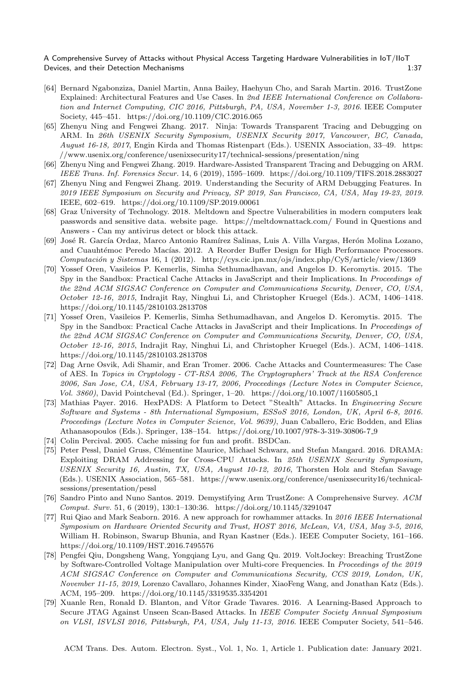- [64] Bernard Ngabonziza, Daniel Martin, Anna Bailey, Haehyun Cho, and Sarah Martin. 2016. TrustZone Explained: Architectural Features and Use Cases. In 2nd IEEE International Conference on Collaboration and Internet Computing, CIC 2016, Pittsburgh, PA, USA, November 1-3, 2016. IEEE Computer Society, 445–451.<https://doi.org/10.1109/CIC.2016.065>
- [65] Zhenyu Ning and Fengwei Zhang. 2017. Ninja: Towards Transparent Tracing and Debugging on ARM. In 26th USENIX Security Symposium, USENIX Security 2017, Vancouver, BC, Canada, August 16-18, 2017, Engin Kirda and Thomas Ristenpart (Eds.). USENIX Association, 33–49. [https:](https://www.usenix.org/conference/usenixsecurity17/technical-sessions/presentation/ning) [//www.usenix.org/conference/usenixsecurity17/technical-sessions/presentation/ning](https://www.usenix.org/conference/usenixsecurity17/technical-sessions/presentation/ning)
- [66] Zhenyu Ning and Fengwei Zhang. 2019. Hardware-Assisted Transparent Tracing and Debugging on ARM. IEEE Trans. Inf. Forensics Secur. 14, 6 (2019), 1595–1609.<https://doi.org/10.1109/TIFS.2018.2883027>
- [67] Zhenyu Ning and Fengwei Zhang. 2019. Understanding the Security of ARM Debugging Features. In 2019 IEEE Symposium on Security and Privacy, SP 2019, San Francisco, CA, USA, May 19-23, 2019. IEEE, 602–619.<https://doi.org/10.1109/SP.2019.00061>
- [68] Graz University of Technology. 2018. Meltdown and Spectre Vulnerabilities in modern computers leak passwords and sensitive data. website page.<https://meltdownattack.com/> Found in Questions and Answers - Can my antivirus detect or block this attack.
- [69] José R. García Ordaz, Marco Antonio Ramírez Salinas, Luis A. Villa Vargas, Herón Molina Lozano, and Cuauhtémoc Peredo Macías. 2012. A Reorder Buffer Design for High Performance Processors. Computación y Sistemas 16, 1 (2012).<http://cys.cic.ipn.mx/ojs/index.php/CyS/article/view/1369>
- [70] Yossef Oren, Vasileios P. Kemerlis, Simha Sethumadhavan, and Angelos D. Keromytis. 2015. The Spy in the Sandbox: Practical Cache Attacks in JavaScript and their Implications. In Proceedings of the 22nd ACM SIGSAC Conference on Computer and Communications Security, Denver, CO, USA, October 12-16, 2015, Indrajit Ray, Ninghui Li, and Christopher Kruegel (Eds.). ACM, 1406–1418. <https://doi.org/10.1145/2810103.2813708>
- [71] Yossef Oren, Vasileios P. Kemerlis, Simha Sethumadhavan, and Angelos D. Keromytis. 2015. The Spy in the Sandbox: Practical Cache Attacks in JavaScript and their Implications. In Proceedings of the 22nd ACM SIGSAC Conference on Computer and Communications Security, Denver, CO, USA, October 12-16, 2015, Indrajit Ray, Ninghui Li, and Christopher Kruegel (Eds.). ACM, 1406–1418. <https://doi.org/10.1145/2810103.2813708>
- [72] Dag Arne Osvik, Adi Shamir, and Eran Tromer. 2006. Cache Attacks and Countermeasures: The Case of AES. In Topics in Cryptology - CT-RSA 2006, The Cryptographers' Track at the RSA Conference 2006, San Jose, CA, USA, February 13-17, 2006, Proceedings (Lecture Notes in Computer Science, Vol. 3860), David Pointcheval (Ed.). Springer, 1–20. [https://doi.org/10.1007/11605805](https://doi.org/10.1007/11605805_1) 1
- [73] Mathias Payer. 2016. HexPADS: A Platform to Detect "Stealth" Attacks. In Engineering Secure Software and Systems - 8th International Symposium, ESSoS 2016, London, UK, April 6-8, 2016. Proceedings (Lecture Notes in Computer Science, Vol. 9639), Juan Caballero, Eric Bodden, and Elias Athanasopoulos (Eds.). Springer, 138–154. [https://doi.org/10.1007/978-3-319-30806-7](https://doi.org/10.1007/978-3-319-30806-7_9) 9
- [74] Colin Percival. 2005. Cache missing for fun and profit. BSDCan.
- [75] Peter Pessl, Daniel Gruss, Clémentine Maurice, Michael Schwarz, and Stefan Mangard. 2016. DRAMA: Exploiting DRAM Addressing for Cross-CPU Attacks. In 25th USENIX Security Symposium, USENIX Security 16, Austin, TX, USA, August 10-12, 2016, Thorsten Holz and Stefan Savage (Eds.). USENIX Association, 565–581. [https://www.usenix.org/conference/usenixsecurity16/technical](https://www.usenix.org/conference/usenixsecurity16/technical-sessions/presentation/pessl)[sessions/presentation/pessl](https://www.usenix.org/conference/usenixsecurity16/technical-sessions/presentation/pessl)
- [76] Sandro Pinto and Nuno Santos. 2019. Demystifying Arm TrustZone: A Comprehensive Survey. ACM Comput. Surv. 51, 6 (2019), 130:1–130:36.<https://doi.org/10.1145/3291047>
- [77] Rui Qiao and Mark Seaborn. 2016. A new approach for rowhammer attacks. In 2016 IEEE International Symposium on Hardware Oriented Security and Trust, HOST 2016, McLean, VA, USA, May 3-5, 2016, William H. Robinson, Swarup Bhunia, and Ryan Kastner (Eds.). IEEE Computer Society, 161–166. <https://doi.org/10.1109/HST.2016.7495576>
- [78] Pengfei Qiu, Dongsheng Wang, Yongqiang Lyu, and Gang Qu. 2019. VoltJockey: Breaching TrustZone by Software-Controlled Voltage Manipulation over Multi-core Frequencies. In Proceedings of the 2019 ACM SIGSAC Conference on Computer and Communications Security, CCS 2019, London, UK, November 11-15, 2019, Lorenzo Cavallaro, Johannes Kinder, XiaoFeng Wang, and Jonathan Katz (Eds.). ACM, 195–209.<https://doi.org/10.1145/3319535.3354201>
- [79] Xuanle Ren, Ronald D. Blanton, and V´ıtor Grade Tavares. 2016. A Learning-Based Approach to Secure JTAG Against Unseen Scan-Based Attacks. In IEEE Computer Society Annual Symposium on VLSI, ISVLSI 2016, Pittsburgh, PA, USA, July 11-13, 2016. IEEE Computer Society, 541–546.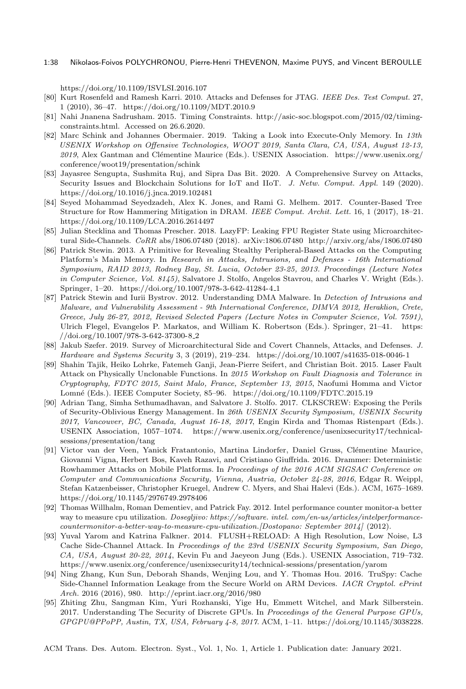#### 1:38 Nikolaos-Foivos POLYCHRONOU, Pierre-Henri THEVENON, Maxime PUYS, and Vincent BEROULLE

<https://doi.org/10.1109/ISVLSI.2016.107>

- [80] Kurt Rosenfeld and Ramesh Karri. 2010. Attacks and Defenses for JTAG. IEEE Des. Test Comput. 27, 1 (2010), 36–47.<https://doi.org/10.1109/MDT.2010.9>
- [81] Nahi Jnanena Sadrusham. 2015. Timing Constraints. [http://asic-soc.blogspot.com/2015/02/timing](http://asic-soc.blogspot.com/2015/02/timing-constraints.html)[constraints.html.](http://asic-soc.blogspot.com/2015/02/timing-constraints.html) Accessed on 26.6.2020.
- [82] Marc Schink and Johannes Obermaier. 2019. Taking a Look into Execute-Only Memory. In 13th USENIX Workshop on Offensive Technologies, WOOT 2019, Santa Clara, CA, USA, August 12-13, 2019, Alex Gantman and Clémentine Maurice (Eds.). USENIX Association. [https://www.usenix.org/](https://www.usenix.org/conference/woot19/presentation/schink) [conference/woot19/presentation/schink](https://www.usenix.org/conference/woot19/presentation/schink)
- [83] Jayasree Sengupta, Sushmita Ruj, and Sipra Das Bit. 2020. A Comprehensive Survey on Attacks, Security Issues and Blockchain Solutions for IoT and IIoT. J. Netw. Comput. Appl. 149 (2020). <https://doi.org/10.1016/j.jnca.2019.102481>
- [84] Seyed Mohammad Seyedzadeh, Alex K. Jones, and Rami G. Melhem. 2017. Counter-Based Tree Structure for Row Hammering Mitigation in DRAM. IEEE Comput. Archit. Lett. 16, 1 (2017), 18–21. <https://doi.org/10.1109/LCA.2016.2614497>
- [85] Julian Stecklina and Thomas Prescher. 2018. LazyFP: Leaking FPU Register State using Microarchitectural Side-Channels. CoRR abs/1806.07480 (2018). arXiv[:1806.07480](https://arxiv.org/abs/1806.07480)<http://arxiv.org/abs/1806.07480>
- [86] Patrick Stewin. 2013. A Primitive for Revealing Stealthy Peripheral-Based Attacks on the Computing Platform's Main Memory. In Research in Attacks, Intrusions, and Defenses - 16th International Symposium, RAID 2013, Rodney Bay, St. Lucia, October 23-25, 2013. Proceedings (Lecture Notes in Computer Science, Vol. 8145), Salvatore J. Stolfo, Angelos Stavrou, and Charles V. Wright (Eds.). Springer, 1–20. [https://doi.org/10.1007/978-3-642-41284-4](https://doi.org/10.1007/978-3-642-41284-4_1) 1
- [87] Patrick Stewin and Iurii Bystrov. 2012. Understanding DMA Malware. In Detection of Intrusions and Malware, and Vulnerability Assessment - 9th International Conference, DIMVA 2012, Heraklion, Crete, Greece, July 26-27, 2012, Revised Selected Papers (Lecture Notes in Computer Science, Vol. 7591), Ulrich Flegel, Evangelos P. Markatos, and William K. Robertson (Eds.). Springer, 21–41. [https:](https://doi.org/10.1007/978-3-642-37300-8_2) [//doi.org/10.1007/978-3-642-37300-8](https://doi.org/10.1007/978-3-642-37300-8_2) 2
- [88] Jakub Szefer. 2019. Survey of Microarchitectural Side and Covert Channels, Attacks, and Defenses. J. Hardware and Systems Security 3, 3 (2019), 219–234.<https://doi.org/10.1007/s41635-018-0046-1>
- [89] Shahin Tajik, Heiko Lohrke, Fatemeh Ganji, Jean-Pierre Seifert, and Christian Boit. 2015. Laser Fault Attack on Physically Unclonable Functions. In 2015 Workshop on Fault Diagnosis and Tolerance in Cryptography, FDTC 2015, Saint Malo, France, September 13, 2015, Naofumi Homma and Victor Lomné (Eds.). IEEE Computer Society, 85–96.<https://doi.org/10.1109/FDTC.2015.19>
- [90] Adrian Tang, Simha Sethumadhavan, and Salvatore J. Stolfo. 2017. CLKSCREW: Exposing the Perils of Security-Oblivious Energy Management. In 26th USENIX Security Symposium, USENIX Security 2017, Vancouver, BC, Canada, August 16-18, 2017, Engin Kirda and Thomas Ristenpart (Eds.). USENIX Association, 1057–1074. [https://www.usenix.org/conference/usenixsecurity17/technical](https://www.usenix.org/conference/usenixsecurity17/technical-sessions/presentation/tang)[sessions/presentation/tang](https://www.usenix.org/conference/usenixsecurity17/technical-sessions/presentation/tang)
- [91] Victor van der Veen, Yanick Fratantonio, Martina Lindorfer, Daniel Gruss, Clémentine Maurice, Giovanni Vigna, Herbert Bos, Kaveh Razavi, and Cristiano Giuffrida. 2016. Drammer: Deterministic Rowhammer Attacks on Mobile Platforms. In Proceedings of the 2016 ACM SIGSAC Conference on Computer and Communications Security, Vienna, Austria, October 24-28, 2016, Edgar R. Weippl, Stefan Katzenbeisser, Christopher Kruegel, Andrew C. Myers, and Shai Halevi (Eds.). ACM, 1675–1689. <https://doi.org/10.1145/2976749.2978406>
- [92] Thomas Willhalm, Roman Dementiev, and Patrick Fay. 2012. Intel performance counter monitor-a better way to measure cpu utilization. Dosegljivo: https://software. intel. com/en-us/articles/intelperformancecountermonitor-a-better-way-to-measure-cpu-utilization.[Dostopano: September 2014] (2012).
- [93] Yuval Yarom and Katrina Falkner. 2014. FLUSH+RELOAD: A High Resolution, Low Noise, L3 Cache Side-Channel Attack. In Proceedings of the 23rd USENIX Security Symposium, San Diego, CA, USA, August 20-22, 2014, Kevin Fu and Jaeyeon Jung (Eds.). USENIX Association, 719–732. <https://www.usenix.org/conference/usenixsecurity14/technical-sessions/presentation/yarom>
- [94] Ning Zhang, Kun Sun, Deborah Shands, Wenjing Lou, and Y. Thomas Hou. 2016. TruSpy: Cache Side-Channel Information Leakage from the Secure World on ARM Devices. IACR Cryptol. ePrint Arch. 2016 (2016), 980.<http://eprint.iacr.org/2016/980>
- [95] Zhiting Zhu, Sangman Kim, Yuri Rozhanski, Yige Hu, Emmett Witchel, and Mark Silberstein. 2017. Understanding The Security of Discrete GPUs. In Proceedings of the General Purpose GPUs, GPGPU@PPoPP, Austin, TX, USA, February 4-8, 2017. ACM, 1–11. [https://doi.org/10.1145/3038228.](https://doi.org/10.1145/3038228.3038233)